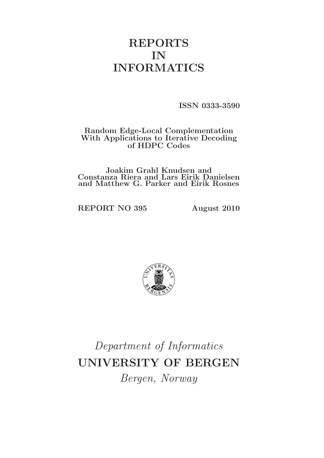# REPORTS IN INFORMATICS

ISSN 0333-3590

# Random Edge-Local Complementation With Applications to Iterative Decoding of HDPC Codes

Joakim Grahl Knudsen and Constanza Riera and Lars Eirik Danielsen and Matthew G. Parker and Eirik Rosnes

REPORT NO 395 August 2010



Department of Informatics UNIVERSITY OF BERGEN Bergen, Norway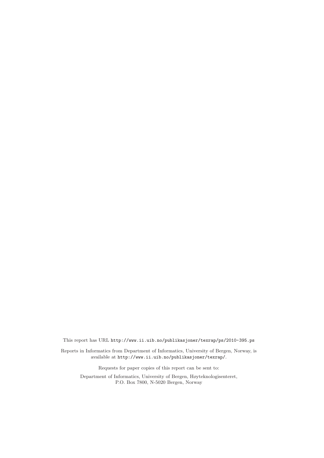This report has URL http://www.ii.uib.no/publikasjoner/texrap/ps/2010-395.ps

Reports in Informatics from Department of Informatics, University of Bergen, Norway, is available at http://www.ii.uib.no/publikasjoner/texrap/.

Requests for paper copies of this report can be sent to:

Department of Informatics, University of Bergen, Høyteknologisenteret, P.O. Box 7800, N-5020 Bergen, Norway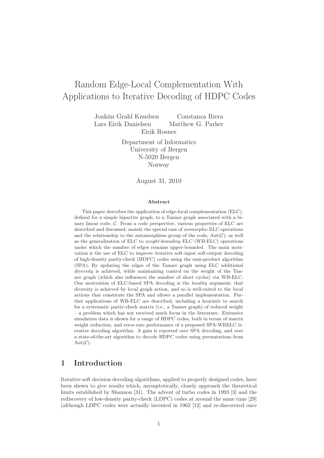# Random Edge-Local Complementation With Applications to Iterative Decoding of HDPC Codes

Joakim Grahl Knudsen Constanza Riera Lars Eirik Danielsen Matthew G. Parker Eirik Rosnes

> Department of Informatics University of Bergen N-5020 Bergen Norway

> > August 31, 2010

#### Abstract

This paper describes the application of edge-local complementation (ELC), defined for a simple bipartite graph, to a Tanner graph associated with a binary linear code, C. From a code perspective, various properties of ELC are described and discussed, mainly the special case of isomorphic ELC operations and the relationship to the automorphism group of the code,  $Aut(\mathcal{C})$ , as well as the generalization of ELC to weight-bounding ELC (WB-ELC) operations under which the number of edges remains upper-bounded. The main motivation is the use of ELC to improve iterative soft-input soft-output decoding of high-density parity-check (HDPC) codes using the sum-product algorithm (SPA). By updating the edges of the Tanner graph using ELC additional diversity is achieved, while maintaining control on the weight of the Tanner graph (which also influences the number of short cycles) via WB-ELC. One motivation of ELC-based SPA decoding is the locality argument; that diversity is achieved by local graph action, and so is well-suited to the local actions that constitute the SPA and allows a parallel implementation. Further applications of WB-ELC are described, including a heuristic to search for a systematic parity-check matrix (i.e., a Tanner graph) of reduced weight – a problem which has not received much focus in the literature. Extensive simulation data is shown for a range of HDPC codes, both in terms of matrix weight reduction, and error-rate performance of a proposed SPA-WBELC iterative decoding algorithm. A gain is reported over SPA decoding, and over a state-of-the-art algorithm to decode HDPC codes using permutations from  $Aut(\mathcal{C}).$ 

# 1 Introduction

Iterative soft decision decoding algorithms, applied to properly designed codes, have been shown to give results which, asymptotically, closely approach the theoretical limits established by Shannon [31]. The advent of turbo codes in 1993 [3] and the rediscovery of low-density parity-check (LDPC) codes at around the same time [29] (although LDPC codes were actually invented in 1962 [12] and re-discovered once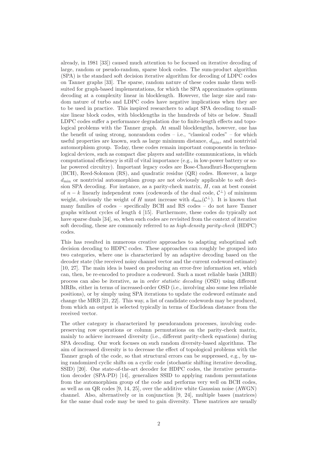already, in 1981 [33]) caused much attention to be focused on iterative decoding of large, random or pseudo-random, sparse block codes. The sum-product algorithm (SPA) is the standard soft decision iterative algorithm for decoding of LDPC codes on Tanner graphs [33]. The sparse, random nature of these codes make them wellsuited for graph-based implementations, for which the SPA approximates optimum decoding at a complexity linear in blocklength. However, the large size and random nature of turbo and LDPC codes have negative implications when they are to be used in practice. This inspired researchers to adapt SPA decoding to smallsize linear block codes, with blocklengths in the hundreds of bits or below. Small LDPC codes suffer a performance degradation due to finite-length effects and topological problems with the Tanner graph. At small blocklengths, however, one has the benefit of using strong, nonrandom codes – i.e., "classical codes" – for which useful properties are known, such as large minimum distance,  $d_{\min}$ , and nontrivial automorphism group. Today, these codes remain important components in technological devices, such as compact disc players and satellite communications, in which computational efficiency is still of vital importance (e.g., in low-power battery or solar powered circuitry). Important legacy codes are Bose-Chaudhuri-Hocquenghem (BCH), Reed-Solomon (RS), and quadratic residue (QR) codes. However, a large  $d_{\text{min}}$  or nontrivial automorphism group are not obviously applicable to soft decision SPA decoding. For instance, as a parity-check matrix,  $H$ , can at best consist of  $n - k$  linearly independent rows (codewords of the dual code,  $\mathcal{C}^{\perp}$ ) of minimum weight, obviously the weight of H must increase with  $d_{\min}(\mathcal{C}^{\perp})$ . It is known that many families of codes – specifically BCH and RS codes – do not have Tanner graphs without cycles of length 4 [15]. Furthermore, these codes do typically not have sparse duals [34], so, when such codes are revisited from the context of iterative soft decoding, these are commonly referred to as *high-density parity-check* (HDPC) codes.

This has resulted in numerous creative approaches to adapting suboptimal soft decision decoding to HDPC codes. These approaches can roughly be grouped into two categories, where one is characterized by an adaptive decoding based on the decoder state (the received noisy channel vector and the current codeword estimate) [10, 27]. The main idea is based on producing an error-free information set, which can, then, be re-encoded to produce a codeword. Such a most reliable basis (MRB) process can also be iterative, as in *order statistic decoding* (OSD) using different MRBs, either in terms of increased-order OSD (i.e., involving also some less reliable positions), or by simply using SPA iterations to update the codeword estimate and change the MRB [21, 22]. This way, a list of candidate codewords may be produced, from which an output is selected typically in terms of Euclidean distance from the received vector.

The other category is characterized by pseudorandom processes, involving codepreserving row operations or column permutations on the parity-check matrix, mainly to achieve increased diversity (i.e., different parity-check equations) during SPA decoding. Our work focuses on such random diversity-based algorithms. The aim of increased diversity is to decrease the effect of topological problems with the Tanner graph of the code, so that structural errors can be suppressed, e.g., by using randomized cyclic shifts on a cyclic code (stochastic shifting iterative decoding, SSID) [20]. One state-of-the-art decoder for HDPC codes, the iterative permutation decoder (SPA-PD) [14], generalizes SSID to applying random permutations from the automorphism group of the code and performs very well on BCH codes, as well as on QR codes [9, 14, 25], over the additive white Gaussian noise (AWGN) channel. Also, alternatively or in conjunction [9, 24], multiple bases (matrices) for the same dual code may be used to gain diversity. These matrices are usually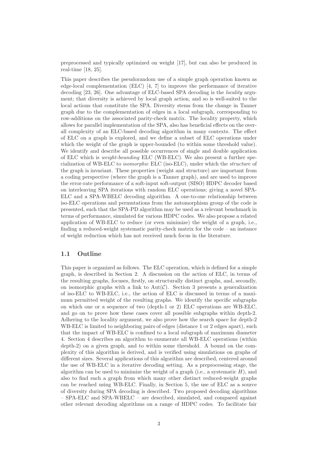preprocessed and typically optimized on weight [17], but can also be produced in real-time [18, 25].

This paper describes the pseudorandom use of a simple graph operation known as edge-local complementation (ELC) [4, 7] to improve the performance of iterative decoding [23, 26]. One advantage of ELC-based SPA decoding is the *locality* argument; that diversity is achieved by local graph action, and so is well-suited to the local actions that constitute the SPA. Diversity stems from the change in Tanner graph due to the complementation of edges in a local subgraph, corresponding to row-additions on the associated parity-check matrix. The locality property, which allows for parallel implementation of the SPA, also has beneficial effects on the overall complexity of an ELC-based decoding algorithm in many contexts. The effect of ELC on a graph is explored, and we define a subset of ELC operations under which the weight of the graph is upper-bounded (to within some threshold value). We identify and describe all possible occurrences of single and double application of ELC which is *weight-bounding* ELC (WB-ELC). We also present a further specialization of WB-ELC to *isomorphic* ELC (iso-ELC), under which the *structure* of the graph is invariant. These properties (weight and structure) are important from a coding perspective (where the graph is a Tanner graph), and are used to improve the error-rate performance of a soft-input soft-output (SISO) HDPC decoder based on interleaving SPA iterations with random ELC operations; giving a novel SPA-ELC and a SPA-WBELC decoding algorithm. A one-to-one relationship between iso-ELC operations and permutations from the automorphism group of the code is presented, such that the SPA-PD algorithm may be used as a relevant benchmark in terms of performance, simulated for various HDPC codes. We also propose a related application of WB-ELC to reduce (or even minimize) the weight of a graph, i.e., finding a reduced-weight systematic parity-check matrix for the code – an instance of weight reduction which has not received much focus in the literature.

## 1.1 Outline

This paper is organized as follows. The ELC operation, which is defined for a simple graph, is described in Section 2. A discussion on the action of ELC, in terms of the resulting graphs, focuses, firstly, on structurally distinct graphs, and, secondly, on isomorphic graphs with a link to  $Aut(\mathcal{C})$ . Section 3 presents a generalization of iso-ELC to WB-ELC, i.e., the action of ELC is discussed in terms of a maximum permitted weight of the resulting graphs. We identify the specific subgraphs on which one or a sequence of two (depth-1 or 2) ELC operations are WB-ELC, and go on to prove how these cases cover all possible subgraphs within depth-2. Adhering to the locality argument, we also prove how the search space for depth-2 WB-ELC is limited to neighboring pairs of edges (distance 1 or 2 edges apart), such that the impact of WB-ELC is confined to a local subgraph of maximum diameter 4. Section 4 describes an algorithm to enumerate all WB-ELC operations (within depth-2) on a given graph, and to within some threshold. A bound on the complexity of this algorithm is derived, and is verified using simulations on graphs of different sizes. Several applications of this algorithm are described, centered around the use of WB-ELC in a iterative decoding setting. As a preprocessing stage, the algorithm can be used to minimize the weight of a graph (i.e., a systematic  $H$ ), and also to find such a graph from which many other distinct reduced-weight graphs can be reached using WB-ELC. Finally, in Section 5, the use of ELC as a source of diversity during SPA decoding is described. Two proposed decoding algorithms – SPA-ELC and SPA-WBELC – are described, simulated, and compared against other relevant decoding algorithms on a range of HDPC codes. To facilitate fair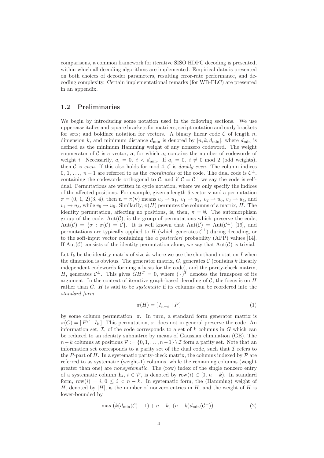comparisons, a common framework for iterative SISO HDPC decoding is presented, within which all decoding algorithms are implemented. Empirical data is presented on both choices of decoder parameters, resulting error-rate performance, and decoding complexity. Certain implementational remarks (for WB-ELC) are presented in an appendix.

### 1.2 Preliminaries

We begin by introducing some notation used in the following sections. We use uppercase italics and square brackets for matrices; script notation and curly brackets for sets; and boldface notation for vectors. A binary linear code  $C$  of length n, dimension k, and minimum distance  $d_{\min}$  is denoted by  $[n, k, d_{\min}]$ , where  $d_{\min}$  is defined as the minimum Hamming weight of any nonzero codeword. The weight enumerator of C is a vector, a, for which  $a_i$  contains the number of codewords of weight i. Necessarily,  $a_i = 0$ ,  $i < d_{\min}$ . If  $a_i = 0$ ,  $i \neq 0 \mod 2$  (odd weights), then  $C$  is *even.* If this also holds for mod 4,  $C$  is *doubly even.* The column indices 0, 1, ...,  $n-1$  are referred to as the *coordinates* of the code. The dual code is  $\mathcal{C}^{\perp}$ , containing the codewords orthogonal to C, and if  $C = C^{\perp}$  we say the code is selfdual. Permutations are written in cycle notation, where we only specify the indices of the affected positions. For example, given a length-6 vector v and a permutation  $\pi = (0, 1, 2)(3, 4)$ , then  $\mathbf{u} = \pi(\mathbf{v})$  means  $v_0 \to u_1, v_1 \to u_2, v_2 \to u_0, v_3 \to u_4$ , and  $v_4 \rightarrow u_3$ , while  $v_5 \rightarrow u_5$ . Similarly,  $\pi(H)$  permutes the columns of a matrix, H. The identity permutation, affecting no positions, is, then,  $\pi = \emptyset$ . The automorphism group of the code,  $Aut(\mathcal{C})$ , is the group of permutations which preserve the code,  $Aut(\mathcal{C}) = {\sigma : \sigma(\mathcal{C}) = \mathcal{C}}.$  It is well known that  $Aut(\mathcal{C}) = Aut(\mathcal{C}^{\perp})$  [19], and permutations are typically applied to H (which generates  $\mathcal{C}^{\perp}$ ) during decoding, or to the soft-input vector containing the *a posteriori* probability (APP) values [14]. If  $Aut(\mathcal{C})$  consists of the identity permutation alone, we say that  $Aut(\mathcal{C})$  is trivial.

Let  $I_k$  be the identity matrix of size k, where we use the shorthand notation I when the dimension is obvious. The generator matrix,  $G$ , generates  $\mathcal C$  (contains k linearly independent codewords forming a basis for the code), and the parity-check matrix, H, generates  $C^{\perp}$ . This gives  $GH^{T} = 0$ , where  $(\cdot)^{T}$  denotes the transpose of its argument. In the context of iterative graph-based decoding of  $C$ , the focus is on  $H$ rather than G. H is said to be *systematic* if its columns can be reordered into the *standard form*

$$
\pi(H) = [I_{n-k} | P]
$$
\n<sup>(1)</sup>

by some column permutation,  $\pi$ . In turn, a standard form generator matrix is  $\pi(G) = [P^T | I_k].$  This permutation,  $\pi$ , does not in general preserve the code. An information set,  $\mathcal I$ , of the code corresponds to a set of k columns in G which can be reduced to an identity submatrix by means of Gaussian elimination (GE). The  $n-k$  columns at positions  $\mathcal{P} := \{0, 1, \ldots, n-1\} \setminus \mathcal{I}$  form a parity set. Note that an information set corresponds to a parity set of the dual code, such that  $\mathcal I$  refers to the P-part of H. In a systematic parity-check matrix, the columns indexed by  $\mathcal P$  are referred to as systematic (weight-1) columns, while the remaining columns (weight greater than one) are *nonsystematic.* The (row) index of the single nonzero entry of a systematic column  $\mathbf{h}_i, i \in \mathcal{P}$ , is denoted by row $(i) \in [0, n - k)$ . In standard form,  $row(i) = i, 0 \leq i \leq n - k$ . In systematic form, the (Hamming) weight of H, denoted by  $|H|$ , is the number of nonzero entries in H, and the weight of H is lower-bounded by

$$
\max\left(k(d_{\min}(\mathcal{C})-1)+n-k,\ (n-k)d_{\min}(\mathcal{C}^{\perp})\right). \tag{2}
$$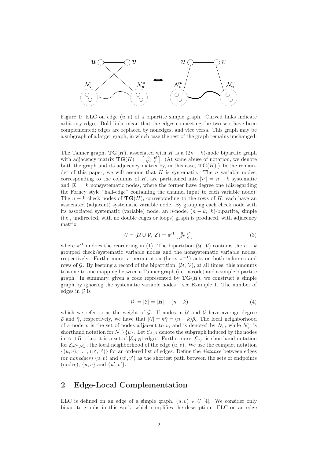

Figure 1: ELC on edge  $(u, v)$  of a bipartite simple graph. Curved links indicate arbitrary edges. Bold links mean that the edges connecting the two sets have been complemented; edges are replaced by nonedges, and vice versa. This graph may be a subgraph of a larger graph, in which case the rest of the graph remains unchanged.

The Tanner graph,  $TG(H)$ , associated with H is a  $(2n-k)$ -node bipartite graph with adjacency matrix  $\mathbf{TG}(H) = \begin{bmatrix} 0 & H \\ H^T & 0 \end{bmatrix}$ . (At some abuse of notation, we denote both the graph and its adjacency matrix by, in this case,  $\mathbf{TG}(H)$ .) In the remainder of this paper, we will assume that  $H$  is systematic. The n variable nodes, corresponding to the columns of H, are partitioned into  $|\mathcal{P}| = n - k$  systematic and  $|\mathcal{I}| = k$  nonsystematic nodes, where the former have degree one (disregarding the Forney style "half-edge" containing the channel input to each variable node). The  $n - k$  check nodes of  $TG(H)$ , corresponding to the rows of H, each have an associated (adjacent) systematic variable node. By grouping each check node with its associated systematic (variable) node, an n-node,  $(n - k, k)$ -bipartite, simple (i.e., undirected, with no double edges or loops) graph is produced, with adjacency matrix

$$
\mathcal{G} = (\mathcal{U} \cup \mathcal{V}, \ \mathcal{E}) = \pi^{-1} \left[ \begin{array}{cc} 0 & P \\ P^T & 0 \end{array} \right] \tag{3}
$$

where  $\pi^{-1}$  undoes the reordering in (1). The bipartition  $(\mathcal{U}, \mathcal{V})$  contains the  $n - k$ grouped check/systematic variable nodes and the nonsystematic variable nodes, respectively. Furthermore, a permutation (here,  $\pi^{-1}$ ) acts on both columns and rows of G. By keeping a record of the bipartition,  $(\mathcal{U}, \mathcal{V})$ , at all times, this amounts to a one-to-one mapping between a Tanner graph (i.e., a code) and a simple bipartite graph. In summary, given a code represented by  $TG(H)$ , we construct a simple graph by ignoring the systematic variable nodes – see Example 1. The number of edges in  $\mathcal G$  is

$$
|\mathcal{G}| = |\mathcal{E}| = |H| - (n - k)
$$
\n<sup>(4)</sup>

which we refer to as the weight of  $\mathcal G$ . If nodes in  $\mathcal U$  and  $\mathcal V$  have average degree  $\bar{\rho}$  and  $\bar{\gamma}$ , respectively, we have that  $|\mathcal{G}| = k\bar{\gamma} = (n - k)\bar{\rho}$ . The local neighborhood of a node v is the set of nodes adjacent to v, and is denoted by  $\mathcal{N}_v$ , while  $\mathcal{N}_v^u$  is shorthand notation for  $\mathcal{N}_v \backslash \{u\}$ . Let  $\mathcal{E}_{A,B}$  denote the subgraph induced by the nodes in  $A ∪ B - i.e.,$  it is a set of  $|\mathcal{E}_{A,B}|$  edges. Furthermore,  $\mathcal{E}_{u,v}$  is shorthand notation for  $\mathcal{E}_{\mathcal{N}_u^v, \mathcal{N}_v^u}$ , the local neighborhood of the edge  $(u, v)$ . We use the compact notation  $\{(u, v), \ldots, (u', v')\}$  for an ordered list of edges. Define the *distance* between edges (or *nonedges*)  $(u, v)$  and  $(u', v')$  as the shortest path between the sets of endpoints (nodes),  $\{u, v\}$  and  $\{u', v'\}$ .

# 2 Edge-Local Complementation

ELC is defined on an edge of a simple graph,  $(u, v) \in \mathcal{G}$  [4]. We consider only bipartite graphs in this work, which simplifies the description. ELC on an edge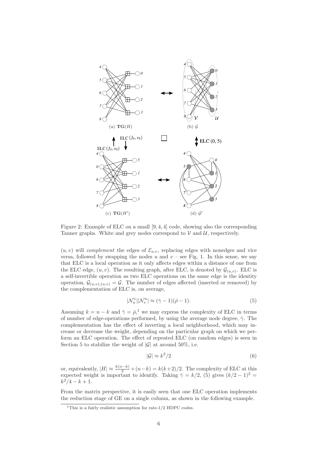

Figure 2: Example of ELC on a small [9, 4, 4] code, showing also the corresponding Tanner graphs. White and grey nodes correspond to  $V$  and  $U$ , respectively.

 $(u, v)$  will *complement* the edges of  $\mathcal{E}_{u,v}$ , replacing edges with nonedges and vice versa, followed by swapping the nodes u and  $v$  – see Fig. 1. In this sense, we say that ELC is a local operation as it only affects edges within a distance of one from the ELC edge,  $(u, v)$ . The resulting graph, after ELC, is denoted by  $\mathcal{G}_{(u,v)}$ . ELC is a self-invertible operation as two ELC operations on the same edge is the identity operation,  $\mathcal{G}_{(u,v),(u,v)} = \mathcal{G}$ . The number of edges affected (inserted or removed) by the complementation of ELC is, on average,

$$
|\mathcal{N}_u^v||\mathcal{N}_v^u| \approx (\bar{\gamma} - 1)(\bar{\rho} - 1). \tag{5}
$$

Assuming  $k = n - k$  and  $\bar{\gamma} = \bar{\rho}$ ,<sup>1</sup> we may express the complexity of ELC in terms of number of edge-operations performed, by using the average node degree,  $\bar{\gamma}$ . The complementation has the effect of inverting a local neighborhood, which may increase or decrease the weight, depending on the particular graph on which we perform an ELC operation. The effect of repeated ELC (on random edges) is seen in Section 5 to stabilize the weight of  $|\mathcal{G}|$  at around 50%, i.e.

$$
|\mathcal{G}| \approx k^2/2\tag{6}
$$

or, equivalently,  $|H| \approx \frac{k(n-k)}{2} + (n-k) = k(k+2)/2$ . The complexity of ELC at this expected weight is important to identify. Taking  $\bar{\gamma} = k/2$ , (5) gives  $(k/2 - 1)^2 =$  $k^2/4 - k + 1$ .

From the matrix perspective, it is easily seen that one ELC operation implements the reduction stage of GE on a single column, as shown in the following example.

 $1$ This is a fairly realistic assumption for rate-1/2 HDPC codes.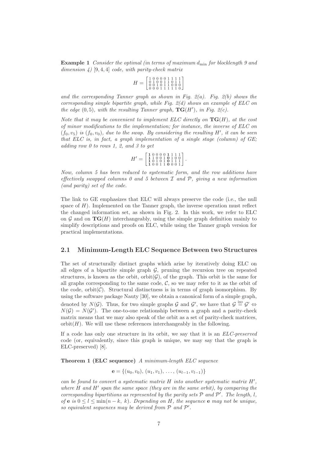Example 1 *Consider the optimal (in terms of maximum* dmin *for blocklength 9 and dimension 4)* [9, 4, 4] *code, with parity-check matrix*

$$
H = \left[\begin{smallmatrix} 1 & 0 & 0 & 0 & 0 & 1 & 1 & 1 & 1 \\ 0 & 1 & 0 & 0 & 1 & 1 & 0 & 1 & 1 \\ 0 & 0 & 1 & 0 & 1 & 1 & 0 & 0 & 0 \\ 0 & 0 & 0 & 1 & 1 & 1 & 1 & 1 & 0 \end{smallmatrix}\right]
$$

*and the corresponding Tanner graph as shown in Fig. 2(a). Fig. 2(b) shows the corresponding simple bipartite graph, while Fig. 2(d) shows an example of ELC on the edge*  $(0,5)$ *, with the resulting Tanner graph,*  $TG(H')$ *, in Fig. 2(c).* 

*Note that it may be convenient to implement ELC directly on* TG(H)*, at the cost of minor modifications to the implementation; for instance, the inverse of ELC on*  $(f_0, v_5)$  *is*  $(f_0, v_0)$ *, due to the swap. By considering the resulting H', it can be seen that ELC is, in fact, a graph implementation of a single stage (column) of GE; adding row 0 to rows 1, 2, and 3 to get*

$$
H' = \left[ \begin{smallmatrix} 1 & 0 & 0 & 0 & 0 & 1 & 1 & 1 & 1 \\ 1 & 1 & 0 & 0 & 1 & 0 & 1 & 0 & 0 \\ 1 & 0 & 1 & 0 & 1 & 0 & 1 & 1 & 1 \\ 1 & 0 & 0 & 1 & 1 & 0 & 0 & 0 & 1 \end{smallmatrix} \right].
$$

*Now, column 5 has been reduced to systematic form, and the row additions have effectively swapped columns 0 and 5 between* I *and* P*, giving a new information (and parity) set of the code.*

The link to GE emphasizes that ELC will always preserve the code (i.e., the null space of  $H$ ). Implemented on the Tanner graph, the inverse operation must reflect the changed information set, as shown in Fig. 2. In this work, we refer to ELC on  $\mathcal G$  and on  $\mathbf {TG}(H)$  interchangeably, using the simple graph definition mainly to simplify descriptions and proofs on ELC, while using the Tanner graph version for practical implementations.

## 2.1 Minimum-Length ELC Sequence Between two Structures

The set of structurally distinct graphs which arise by iteratively doing ELC on all edges of a bipartite simple graph  $G$ , pruning the recursion tree on repeated structures, is known as the orbit,  $\text{orbit}(\mathcal{G})$ , of the graph. This orbit is the same for all graphs corresponding to the same code,  $\mathcal{C}$ , so we may refer to it as the orbit of the code,  $orbit(\mathcal{C})$ . Structural distinctness is in terms of graph isomorphism. By using the software package Nauty [30], we obtain a canonical form of a simple graph, denoted by  $N(\mathcal{G})$ . Thus, for two simple graphs  $\mathcal{G}$  and  $\mathcal{G}'$ , we have that  $\mathcal{G} \stackrel{\text{iso}}{=} \mathcal{G}' \Leftrightarrow$  $N(\mathcal{G}) = N(\mathcal{G}')$ . The one-to-one relationship between a graph and a parity-check matrix means that we may also speak of the orbit as a set of parity-check matrices,  $orbit(H)$ . We will use these references interchangeably in the following.

If a code has only one structure in its orbit, we say that it is an *ELC-preserved* code (or, equivalently, since this graph is unique, we may say that the graph is ELC-preserved) [8].

Theorem 1 (ELC sequence) *A minimum-length ELC sequence*

 $e = \{(u_0, v_0), (u_1, v_1), \ldots, (u_{l-1}, v_{l-1})\}$ 

*can be found to convert a systematic matrix* H *into another systematic matrix* H′ *, where* H *and* H′ *span the same space (they are in the same orbit), by comparing the corresponding bipartitions as represented by the parity sets*  $P$  *and*  $P'$ *. The length, l, of* **e** *is*  $0 \leq l \leq \min(n - k, k)$ *. Depending on H, the sequence* **e** *may not be unique, so equivalent sequences may be derived from*  $P$  *and*  $P'$ *.*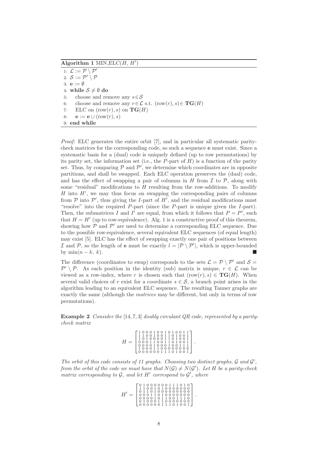Algorithm 1 MIN  $ELC(H, H')$ 

1:  $\mathcal{L} := \mathcal{P} \setminus \mathcal{P}'$ 2:  $S := \mathcal{P}' \setminus \mathcal{P}$ 3:  $\mathbf{e} := \emptyset$ 4: while  $S \neq \emptyset$  do 5: choose and remove any  $s \in \mathcal{S}$ 6: choose and remove any  $r \in \mathcal{L}$  s.t.  $(\text{row}(r), s) \in \mathbf{TG}(H)$ 7: ELC on  $(row(r), s)$  on  $\mathbf{TG}(H)$ 8:  $\mathbf{e} := \mathbf{e} \cup (\text{row}(r), s)$ 9: end while

*Proof:* ELC generates the entire orbit [7], and in particular all systematic paritycheck matrices for the corresponding code, so such a sequence e must exist. Since a systematic basis for a (dual) code is uniquely defined (up to row permutations) by its parity set, the information set (i.e., the P-part of  $H$ ) is a function of the parity set. Thus, by comparing  $P$  and  $P'$ , we determine which coordinates are in opposite partitions, and shall be swapped. Each ELC operation preserves the (dual) code, and has the effect of swapping a pair of columns in  $H$  from  $\mathcal I$  to  $\mathcal P$ , along with some "residual" modifications to  $H$  resulting from the row-additions. To modify  $H$  into  $H'$ , we may thus focus on swapping the corresponding pairs of columns from  $P$  into  $P'$ , thus giving the *I*-part of  $H'$ , and the residual modifications must "resolve" into the required P-part (since the P-part is unique given the I-part). Then, the submatrices I and I' are equal, from which it follows that  $P = P'$ , such that  $H = H'$  (up to row-equivalence). Alg. 1 is a constructive proof of this theorem, showing how  $P$  and  $P'$  are used to determine a corresponding ELC sequence. Due to the possible row-equivalence, several equivalent ELC sequences (of equal length) may exist [5]. ELC has the effect of swapping exactly one pair of positions between I and P, so the length of **e** must be exactly  $l = \mathcal{P} \setminus \mathcal{P}'$ , which is upper-bounded by  $\min(n-k, k)$ .

The difference (coordinates to swap) corresponds to the sets  $\mathcal{L} = \mathcal{P} \setminus \mathcal{P}'$  and  $\mathcal{S} =$  $\mathcal{P}' \setminus \mathcal{P}$ . As each position in the identity (sub) matrix is unique,  $r \in \mathcal{L}$  can be viewed as a row-index, where r is chosen such that  $(row(r), s) \in \mathbf{TG}(H)$ . When several valid choices of r exist for a coordinate  $s \in \mathcal{S}$ , a branch point arises in the algorithm leading to an equivalent ELC sequence. The resulting Tanner graphs are exactly the same (although the *matrices* may be different, but only in terms of row permutations).

Example 2 *Consider the* [14, 7, 3] *doubly circulant QR code, represented by a paritycheck matrix*

| 10001001010011<br>1100100110100<br>010000110100<br>0001100110100<br>00001000100<br>10001100000000 |  |
|---------------------------------------------------------------------------------------------------|--|
| 00000111010<br>$\overline{0}$                                                                     |  |

The orbit of this code consists of 11 graphs. Choosing two distinct graphs, G and  $G'$ , *from the orbit of the code we must have that*  $N(\mathcal{G}) \neq N(\mathcal{G}')$ *. Let* H *be a parity-check matrix corresponding to*  $G$ *, and let*  $H'$  *correspond to*  $G'$ *, where* 

|  | $\begin{bmatrix} 0 & 1 & 0 & 0 & 0 & 0 & 0 & 0 & 1 & 1 & 1 & 0 & 1 & 0 \\ 1 & 1 & 0 & 0 & 1 & 0 & 1 & 0 & 0 & 0 & 0 & 0 & 0 & 0 \\ 0 & 0 & 0 & 0 & 0 & 0 & 0 & 0 & 0 & 0 & 0 \\ 0 & 0 & 0 & 0 & 0 & 0 & 0 & 0 & 0 & 0 \\ 0 & 0 & 0 & 0 & 0 & 0 & 0 & 0 & 0 & 0 \\ 0 & 0 & 0 & 0 & 0 & 0 & 0 & 0 & 0 & 0 \\ 0 & 0 & $ |  |
|--|----------------------------------------------------------------------------------------------------------------------------------------------------------------------------------------------------------------------------------------------------------------------------------------------------------------------|--|
|  | $\left[\begin{array}{cccccccccc}\n0&1&1&0&1&0&0&0&0&0&0&0&0\\ 0&0&0&1&1&0&1&0&0&0&0&0&0&0\\ 0&0&0&0&1&0&1&1&0&0&1&1&1&0\\ 0&0&0&0&1&0&1&1&0&0&1&1&1&0\\ 0&0&0&0&0&0&0&0&0&0&0&0&0\\ \end{array}\right]$                                                                                                              |  |
|  | $\begin{array}{cccccccccc}\n0 & 1 & 0 & 0 & 0 & 1 & 1 & 0 & 0 & 0 & 0 & 0 & 0 & 0 \\ 0 & 0 & 0 & 0 & 0 & 0 & 1 & 1 & 1 & 0 & 1 & 0 & 0 & 1\n\end{array}$                                                                                                                                                             |  |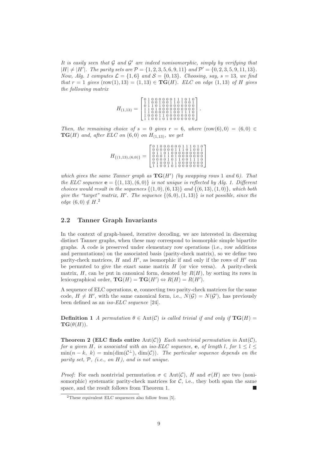It is easily seen that G and G' are indeed nonisomorphic, simply by verifying that  $|H| \neq |H'|$ *. The parity sets are*  $\mathcal{P} = \{1, 2, 3, 5, 6, 9, 11\}$  *and*  $\mathcal{P}' = \{0, 2, 3, 5, 9, 11, 13\}$ *. Now, Alg. 1 computes*  $\mathcal{L} = \{1, 6\}$  *and*  $\mathcal{S} = \{0, 13\}$ *. Choosing, say,*  $s = 13$ *, we find that*  $r = 1$  *gives* (row(1), 13) = (1, 13)  $\in \textbf{TG}(H)$ *. ELC on edge* (1, 13) *of* H *gives the following matrix*

| [01000000111010]<br>11001001101001<br>$\begin{array}{cccccccccc} 0&1&1&0&1&0&0&0&0&0&0&0&0&0 \\ 1&1&0&1&0&0&0&0&0&0&0&0&0&0 \\ 1&1&0&0&0&0&0&1&0&0&1&1&1&0 \end{array}$<br>$H_{(1,13)} =$<br>10001100000000<br>110010101000000 |
|--------------------------------------------------------------------------------------------------------------------------------------------------------------------------------------------------------------------------------|
|--------------------------------------------------------------------------------------------------------------------------------------------------------------------------------------------------------------------------------|

*Then, the remaining choice of*  $s = 0$  *gives*  $r = 6$ *, where*  $(row(6), 0) = (6, 0) \in$  $TG(H)$  *and, after ELC on* (6,0) *on*  $H_{(1,13)}$ *, we get* 

| $H_{\{(1,13),(6,0)\}}$ : | $\left[ \begin{array}{rrrrrr} 0&1&0&0&0&0&0&0&1&1&1&0&1&0\\ 0&0&0&0&0&0&1&1&1&0&1&0&0&1\\ 0&1&1&0&1&0&0&0&0&0&0&0&0\\ 0&0&0&1&1&0&1&0&0&0&0&0&0&0\\ 0&0&0&0&1&0&1&1&0&0&1&1&1&0\\ 1&1&0&0&1&0&1&0&0&0&0&0&0&0 \end{array} \right]$ |
|--------------------------|------------------------------------------------------------------------------------------------------------------------------------------------------------------------------------------------------------------------------------|
|                          |                                                                                                                                                                                                                                    |

*which gives the same Tanner graph as* TG(H′ ) *(by swapping rows* 1 *and* 6*). That the ELC sequence*  $\mathbf{e} = \{(1, 13), (6, 0)\}\$ is not unique is reflected by Alg. 1. Different *choices would result in the sequences*  $\{(1,0), (6,13)\}$  *and*  $\{(6,13), (1,0)\}$ *, which both give the "target" matrix,* H′ *. The sequence* {(6, 0),(1, 13)} *is not possible, since the edge*  $(6,0) \notin H^2$ 

### 2.2 Tanner Graph Invariants

In the context of graph-based, iterative decoding, we are interested in discerning distinct Tanner graphs, when these may correspond to isomorphic simple bipartite graphs. A code is preserved under elementary row operations (i.e., row additions and permutations) on the associated basis (parity-check matrix), so we define two parity-check matrices,  $H$  and  $H'$ , as isomorphic if and only if the rows of  $H'$  can be permuted to give the exact same matrix  $H$  (or vice versa). A parity-check matrix,  $H$ , can be put in canonical form, denoted by  $R(H)$ , by sorting its rows in lexicographical order,  $\mathbf{TG}(H) = \mathbf{TG}(H') \Leftrightarrow R(H) = R(H')$ .

A sequence of ELC operations, e, connecting two parity-check matrices for the same code,  $H \neq H'$ , with the same canonical form, i.e.,  $N(\mathcal{G}) = N(\mathcal{G}')$ , has previously been defined as an *iso-ELC sequence* [24].

**Definition 1** *A permutation*  $\theta \in Aut(\mathcal{C})$  *is called trivial if and only if*  $TG(H)$  =  $TG(\theta(H)).$ 

**Theorem 2 (ELC finds entire Aut(C))** *Each nontrivial permutation in*  $Aut(\mathcal{C})$ *, for a given* H, *is associated with an iso-ELC sequence*, **e**, *of length* l, *for*  $1 \leq l \leq$  $\min(n-k, k) = \min(\dim(\mathcal{C}^{\perp}), \dim(\mathcal{C}))$ . The particular sequence depends on the *parity set,* P*, (i.e., on* H*), and is not unique.*

*Proof:* For each nontrivial permutation  $\sigma \in Aut(\mathcal{C})$ , H and  $\sigma(H)$  are two (nonisomorphic) systematic parity-check matrices for  $C$ , i.e., they both span the same space, and the result follows from Theorem 1.

<sup>2</sup>These equivalent ELC sequences also follow from [5].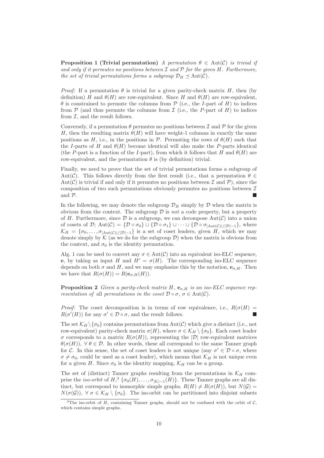**Proposition 1 (Trivial permutation)** *A permutation*  $\theta \in Aut(C)$  *is trivial if and only if it permutes no positions between* I *and* P *for the given* H*. Furthermore, the set of trivial permutations forms a subgroup*  $\mathcal{D}_H \prec \text{Aut}(\mathcal{C})$ *.* 

*Proof:* If a permutation  $\theta$  is trivial for a given parity-check matrix H, then (by definition) H and  $\theta(H)$  are row-equivalent. Since H and  $\theta(H)$  are row-equivalent,  $\theta$  is constrained to permute the columns from  $\mathcal P$  (i.e., the *I*-part of *H*) to indices from  $P$  (and thus permute the columns from  $I$  (i.e., the P-part of H) to indices from  $I$ , and the result follows.

Conversely, if a permutation  $\theta$  permutes no positions between  $\mathcal I$  and  $\mathcal P$  for the given H, then the resulting matrix  $\theta(H)$  will have weight-1 columns in exactly the same positions as H, i.e., in the positions in  $P$ . Permuting the rows of  $\theta(H)$  such that the I-parts of H and  $\theta(H)$  become identical will also make the P-parts identical (the P-part is a function of the I-part), from which it follows that H and  $\theta(H)$  are row-equivalent, and the permutation  $\theta$  is (by definition) trivial.

Finally, we need to prove that the set of trivial permutations forms a subgroup of Aut(C). This follows directly from the first result (i.e., that a permutation  $\theta \in$ Aut(C) is trivial if and only if it permutes no positions between  $\mathcal I$  and  $\mathcal P$ ), since the composition of two such permutations obviously permutes no positions between  $\mathcal I$ and  $\mathcal{P}$ .

In the following, we may denote the subgroup  $\mathcal{D}_H$  simply by  $\mathcal D$  when the matrix is obvious from the context. The subgroup  $\mathcal D$  is *not* a code property, but a property of H. Furthermore, since  $\mathcal D$  is a subgroup, we can decompose  $\mathrm{Aut}(\mathcal C)$  into a union of cosets of D; Aut $(\mathcal{C}) = {\mathcal{D} \circ \sigma_0} \cup {\mathcal{D} \circ \sigma_1} \cup \cdots \cup {\mathcal{D} \circ \sigma_{|\text{Aut}(\mathcal{C})|/|\mathcal{D}|-1}}$ , where  $\mathcal{K}_H = \{\sigma_0, \ldots, \sigma_{|\text{Aut}(C)|/|\mathcal{D}|-1}\}\$ is a set of coset leaders, given H, which we may denote simply by  $\mathcal K$  (as we do for the subgroup  $\mathcal D$ ) when the matrix is obvious from the context, and  $\sigma_0$  is the identity permutation.

Alg. 1 can be used to convert any  $\sigma \in Aut(\mathcal{C})$  into an equivalent iso-ELC sequence, e, by taking as input H and  $H' = \sigma(H)$ . The corresponding iso-ELC sequence depends on both  $\sigma$  and H, and we may emphasize this by the notation,  $e_{\sigma,H}$ . Then we have that  $R(\sigma(H)) = R(\mathbf{e}_{\sigma,H}(H)).$ 

**Proposition 2** *Given a parity-check matrix*  $H$ ,  $e_{\sigma,H}$  *is an iso-ELC sequence representation of* all *permutations in the coset*  $\mathcal{D} \circ \sigma$ *,*  $\sigma \in \text{Aut}(\mathcal{C})$ *.* 

*Proof:* The coset decomposition is in terms of row equivalence, i.e.,  $R(\sigma(H))$  $R(\sigma'(H))$  for any  $\sigma' \in \mathcal{D} \circ \sigma$ , and the result follows.

The set  $\mathcal{K}_H \backslash \{\sigma_0\}$  contains permutations from Aut(C) which give a distinct (i.e., not row-equivalent) parity-check matrix  $\sigma(H)$ , where  $\sigma \in \mathcal{K}_H \setminus {\sigma_0}$ . Each coset leader σ corresponds to a matrix R(σ(H)), representing the |D| row-equivalent matrices  $\theta(\sigma(H))$ ,  $\forall \theta \in \mathcal{D}$ . In other words, these all correspond to the same Tanner graph for C. In this sense, the set of coset leaders is not unique (any  $\sigma' \in \mathcal{D} \circ \sigma$ , where  $\sigma \neq \sigma_0$ , could be used as a coset leader), which means that  $\mathcal{K}_H$  is not unique even for a given H. Since  $\sigma_0$  is the identity mapping,  $\mathcal{K}_H$  can be a group.

The set of (distinct) Tanner graphs resulting from the permutations in  $\mathcal{K}_H$  comprise the *iso-orbit* of  $H, \mathcal{F}(\sigma_0(H), \ldots, \sigma_{|\mathcal{K}|-1}(H))$ . These Tanner graphs are all distinct, but correspond to isomorphic simple graphs,  $R(H) \neq R(\sigma(H))$ , but  $N(G)$  $N(\sigma(\mathcal{G}))$ ,  $\forall \sigma \in \mathcal{K}_H \setminus \{\sigma_0\}$ . The iso-orbit can be partitioned into disjoint subsets

<sup>&</sup>lt;sup>3</sup>The iso-orbit of H, containing Tanner graphs, should not be confused with the orbit of  $C$ , which contains simple graphs.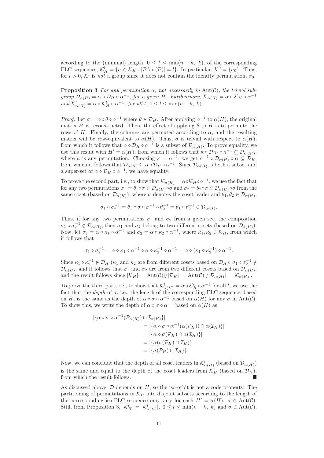according to the (minimal) length,  $0 \leq l \leq \min(n - k, k)$ , of the corresponding ELC sequences,  $\mathcal{K}_H^l = \{ \sigma \in \mathcal{K}_H : |\mathcal{P} \setminus \sigma(\mathcal{P})| = l \}.$  In particular,  $\mathcal{K}^0 = \{ \sigma_0 \}.$  Thus, for  $l > 0$ ,  $\mathcal{K}^l$  is *not* a group since it does not contain the identity permutation,  $\sigma_0$ .

**Proposition 3** For any permutation  $\alpha$ , not necessarily in Aut(C), the trivial sub*group*  $\mathcal{D}_{\alpha(H)} = \alpha \circ \mathcal{D}_H \circ \alpha^{-1}$ , for a given H. Furthermore,  $\mathcal{K}_{\alpha(H)} = \alpha \circ \mathcal{K}_H \circ \alpha^{-1}$ and  $\mathcal{K}^l_{\alpha(H)} = \alpha \circ \mathcal{K}^l_H \circ \alpha^{-1}$ , for all l,  $0 \le l \le \min(n-k, k)$ .

*Proof:* Let  $\sigma = \alpha \circ \theta \circ \alpha^{-1}$  where  $\theta \in \mathcal{D}_H$ . After applying  $\alpha^{-1}$  to  $\alpha(H)$ , the original matrix H is reconstructed. Then, the effect of applying  $\theta$  to H is to permute the rows of H. Finally, the columns are permuted according to  $\alpha$ , and the resulting matrix will be row-equivalent to  $\alpha(H)$ . Thus,  $\sigma$  is trivial with respect to  $\alpha(H)$ , from which it follows that  $\alpha \circ \mathcal{D}_H \circ \alpha^{-1}$  is a subset of  $\mathcal{D}_{\alpha(H)}$ . To prove equality, we use this result with  $H' = \alpha(H)$ , from which it follows that  $\kappa \circ \mathcal{D}_{H'} \circ \kappa^{-1} \subseteq \mathcal{D}_{\kappa(H')}$ , where  $\kappa$  is any permutation. Choosing  $\kappa = \alpha^{-1}$ , we get  $\alpha^{-1} \circ \mathcal{D}_{\alpha(H)} \circ \alpha \subseteq \mathcal{D}_H$ , from which it follows that  $\mathcal{D}_{\alpha(H)} \subseteq \alpha \circ \mathcal{D}_H \circ \alpha^{-1}$ . Since  $\mathcal{D}_{\alpha(H)}$  is both a subset and a super-set of  $\alpha \circ \mathcal{D}_H \circ \alpha^{-1}$ , we have equality.

To prove the second part, i.e., to show that  $\mathcal{K}_{\alpha(H)} = \alpha \circ \mathcal{K}_H \circ \alpha^{-1}$ , we use the fact that for any two permutations  $\sigma_1 = \theta_1 \circ \sigma \in \mathcal{D}_{\alpha(H)} \circ \sigma$  and  $\sigma_2 = \theta_2 \circ \sigma \in \mathcal{D}_{\alpha(H)} \circ \sigma$  from the same coset (based on  $\mathcal{D}_{\alpha(H)}$ ), where  $\sigma$  denotes the coset leader and  $\theta_1, \theta_2 \in \mathcal{D}_{\alpha(H)}$ ,

$$
\sigma_1 \circ \sigma_2^{-1} = \theta_1 \circ \sigma \circ \sigma^{-1} \circ \theta_2^{-1} = \theta_1 \circ \theta_2^{-1} \in \mathcal{D}_{\alpha(H)}.
$$

Thus, if for any two permutations  $\sigma_1$  and  $\sigma_2$  from a given set, the composition  $\sigma_1 \circ \sigma_2^{-1} \notin \mathcal{D}_{\alpha(H)}$ , then  $\sigma_1$  and  $\sigma_2$  belong to two different cosets (based on  $\mathcal{D}_{\alpha(H)}$ ). Now, let  $\sigma_1 = \alpha \circ \kappa_1 \circ \alpha^{-1}$  and  $\sigma_2 = \alpha \circ \kappa_2 \circ \alpha^{-1}$ , where  $\kappa_1, \kappa_2 \in \mathcal{K}_H$ , from which it follows that

$$
\sigma_1 \circ \sigma_2^{-1} = \alpha \circ \kappa_1 \circ \alpha^{-1} \circ \alpha \circ \kappa_2^{-1} \circ \alpha^{-1} = \alpha \circ (\kappa_1 \circ \kappa_2^{-1}) \circ \alpha^{-1}.
$$

Since  $\kappa_1 \circ \kappa_2^{-1} \notin \mathcal{D}_H$  ( $\kappa_1$  and  $\kappa_2$  are from different cosets based on  $\mathcal{D}_H$ ),  $\sigma_1 \circ \sigma_2^{-1} \notin$  $\mathcal{D}_{\alpha(H)}$ , and it follows that  $\sigma_1$  and  $\sigma_2$  are from two different cosets based on  $\mathcal{D}_{\alpha(H)}$ , and the result follows since  $|\mathcal{K}_H| = |\text{Aut}(\mathcal{C})|/|\mathcal{D}_H| = |\text{Aut}(\mathcal{C})|/|\mathcal{D}_{\alpha(H)}| = |\mathcal{K}_{\alpha(H)}|$ .

To prove the third part, i.e., to show that  $\mathcal{K}^l_{\alpha(H)} = \alpha \circ \mathcal{K}^l_H \circ \alpha^{-1}$  for all l, we use the fact that the *depth* of  $\sigma$ , i.e., the length of the corresponding ELC sequence, based on H, is the same as the depth of  $\alpha \circ \sigma \circ \alpha^{-1}$  based on  $\alpha(H)$  for any  $\sigma$  in Aut(C). To show this, we write the depth of  $\alpha \circ \sigma \circ \alpha^{-1}$  based on  $\alpha(H)$  as

$$
|\{\alpha \circ \sigma \circ \alpha^{-1}(\mathcal{P}_{\alpha(H)}) \cap \mathcal{I}_{\alpha(H)}\}|
$$
  
= |\{\alpha \circ \sigma \circ \alpha^{-1}(\alpha(\mathcal{P}\_H)) \cap \alpha(\mathcal{I}\_H)\}|  
= |\{\alpha \circ \sigma(\mathcal{P}\_H) \cap \alpha(\mathcal{I}\_H)\}|  
= |\{\alpha(\sigma(\mathcal{P}\_H) \cap \mathcal{I}\_H)\}|  
= |\{\sigma(\mathcal{P}\_H) \cap \mathcal{I}\_H\}|.

Now, we can conclude that the depth of all coset leaders in  $\mathcal{K}^l_{\alpha(H)}$  (based on  $\mathcal{D}_{\alpha(H)})$ is the same and equal to the depth of the coset leaders from  $\mathcal{K}_{H}^{l}$  (based on  $\mathcal{D}_{H}$ ), from which the result follows.

As discussed above,  $D$  depends on  $H$ , so the iso-orbit is not a code property. The partitioning of permutations in  $\mathcal{K}_H$  into disjoint subsets according to the length of the corresponding iso-ELC sequence may vary for each  $H' = \sigma(H)$ ,  $\sigma \in Aut(\mathcal{C})$ . Still, from Proposition 3,  $|\mathcal{K}_H^l| = |\mathcal{K}_{\sigma(H)}^l|, 0 \le l \le \min(n-k, k)$  and  $\sigma \in \text{Aut}(\mathcal{C}),$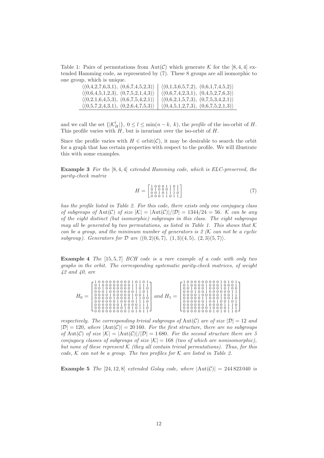Table 1: Pairs of permutations from Aut(C) which generate K for the [8, 4, 4] extended Hamming code, as represented by (7). These 8 groups are all isomorphic to one group, which is unique.

| $\langle (0,4,2,7,6,3,1), (0,6,7,4,5,2,3) \rangle$ | $\langle (0,1,3,6,5,7,2), (0,6,1,7,4,5,2) \rangle$ |
|----------------------------------------------------|----------------------------------------------------|
| $\langle (0,6,4,5,1,2,3), (0,7,5,2,1,4,3) \rangle$ | $\langle (0,6,7,4,2,3,1), (0,4,5,2,7,6,3) \rangle$ |
| $\langle (0,2,1,6,4,5,3), (0,6,7,5,4,2,1) \rangle$ | $\langle (0,6,2,1,5,7,3), (0,7,5,3,4,2,1) \rangle$ |
| $\langle (0,5,7,2,4,3,1), (0,2,6,4,7,5,3) \rangle$ | $\langle (0,4,5,1,2,7,3), (0,6,7,5,2,1,3) \rangle$ |

and we call the set  $\{|\mathcal{K}_H^l|\}, 0 \leq l \leq \min(n-k, k)$ , the *profile* of the iso-orbit of H. This profile varies with  $H$ , but is invariant over the iso-orbit of  $H$ .

Since the profile varies with  $H \in \text{orbit}(\mathcal{C})$ , it may be desirable to search the orbit for a graph that has certain properties with respect to the profile. We will illustrate this with some examples.

Example 3 *For the* [8, 4, 4] *extended Hamming code, which is ELC-preserved, the parity-check matrix*

$$
H = \begin{bmatrix} 1 & 0 & 0 & 0 & 1 & 1 & 0 & 1 \\ 0 & 1 & 0 & 0 & 0 & 1 & 1 & 1 \\ 0 & 0 & 1 & 0 & 1 & 1 & 1 & 0 \\ 0 & 0 & 0 & 1 & 1 & 0 & 1 & 1 \end{bmatrix} \tag{7}
$$

*has the profile listed in Table 2. For this code, there exists only one conjugacy class of subgroups of* Aut(C) *of size*  $|K| = |\text{Aut}(C)|/|\mathcal{D}| = 1344/24 = 56$ . K can be any *of the eight distinct (but isomorphic) subgroups in this class. The eight subgroups may all be generated by two permutations, as listed in Table 1. This shows that*  $K$ *can be a group, and the minimum number of generators is 2 (*K *can not be a cyclic subgroup*). Generators for  $D$  are  $\{(0, 2)(6, 7), (1, 3)(4, 5), (2, 3)(5, 7)\}.$ 

Example 4 *The* [15, 5, 7] *BCH code is a rare example of a code with only two graphs in the orbit. The corresponding systematic parity-check matrices, of weight 42 and 40, are*

*respectively. The corresponding trivial subgroups of*  $Aut(\mathcal{C})$  *are of size*  $|\mathcal{D}| = 12$  *and*  $|\mathcal{D}| = 120$ , where  $|\text{Aut}(\mathcal{C})| = 20160$ . For the first structure, there are no subgroups *of* Aut(C) *of size*  $|\mathcal{K}| = |\text{Aut}(\mathcal{C})|/|\mathcal{D}| = 1680$ *. For the second structure there are 5 conjugacy classes of subgroups of size*  $|K| = 168$  *(two of which are nonisomorphic), but none of these represent* K *(they all contain trivial permutations). Thus, for this code,* K *can not be a group. The two profiles for* K *are listed in Table 2.*

**Example 5** *The* [24, 12, 8] *extended Golay code, where*  $|\text{Aut}(\mathcal{C})| = 244823040$  *is*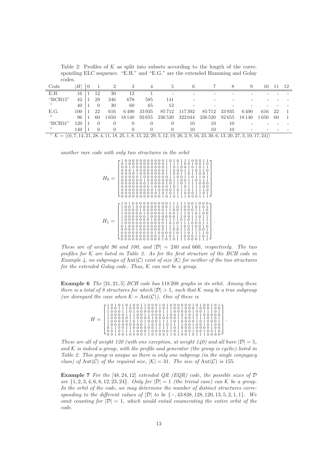Table 2: Profiles of  $K$  as split into subsets according to the length of the corresponding ELC sequence. "E.H." and "E.G." are the extended Hamming and Golay codes.

| Code                                                                                                                                              | Н   | $\left( \right)$ |              |      |                  |       |                          |         |         |        | 9      | $\mathbf{I}(\mathbf{I})$ |    | 12 |
|---------------------------------------------------------------------------------------------------------------------------------------------------|-----|------------------|--------------|------|------------------|-------|--------------------------|---------|---------|--------|--------|--------------------------|----|----|
| E.H.                                                                                                                                              | 16  |                  | 12           | 30   | 12               |       | $\overline{\phantom{0}}$ |         |         |        |        |                          |    |    |
| "BCH15"                                                                                                                                           | 42  |                  | 29           | 246  | 678              | 585   | 141                      |         |         |        |        |                          |    |    |
| "                                                                                                                                                 | 40  |                  | $\theta$     | 30   | 60               | 65    | 12                       |         |         |        |        |                          |    |    |
| E.G.                                                                                                                                              | 100 |                  | 22           | 616  | 6490             | 33935 | 85712                    | 117 392 | 85 712  | 33 935 | 6490   | 616                      | 22 |    |
| "                                                                                                                                                 | 96  |                  | 60           | .650 | 18 140           | 92655 | 236520                   | 322044  | 236 520 | 92655  | 18 140 | 1650                     | 60 |    |
| "BCH31"                                                                                                                                           | 120 |                  | $\theta$     |      |                  |       |                          | 10      | 10      | 10     |        |                          |    |    |
| "                                                                                                                                                 | 140 |                  | $\mathbf{0}$ | 0    | $\left( \right)$ |       |                          | 10      | 10      | 10     |        |                          |    |    |
| $\mathcal{K} = \langle (0, 7, 14, 21, 28, 4, 11, 18, 25, 1, 8, 15, 22, 29, 5, 12, 19, 26, 2, 9, 16, 23, 30, 6, 13, 20, 27, 3, 10, 17, 24 \rangle$ |     |                  |              |      |                  |       |                          |         |         |        |        |                          |    |    |

*another rare code with only two structures in the orbit*

| $H_0 =$ | $\begin{smallmatrix} 0 & 0 & 0 & 1 & 0 & 1 & 0 & 1 & 1 \\ 0 & 0 & 0 & 1 & 1 & 1 & 1 & 1 & 0 \end{smallmatrix}$<br>$\overline{0}$<br>$\overline{0}$<br>1<br>1<br>$\mathbf{0}$<br>1<br>$\theta$<br>0<br>0<br>$\Omega$<br>0<br>$\overline{0}$<br>0<br>$\cup$<br>$\mathbf{1}$<br>1<br>$\mathbf{1}$<br>$\theta$<br>0<br>0<br>0<br>0<br>0<br>0<br>0<br>0<br>0<br>0<br>0<br>$\mathbf{1}$<br>$\mathbf{1}$<br>1<br>$\overline{0}$<br>1<br>$\mathbf{0}$<br>1<br>$\mathbf{0}$<br>0<br>0<br>0<br>$\overline{0}$<br>0<br>$\theta$<br>$\overline{0}$<br>0<br>0<br>$\mathbf{1}$<br>$\mathbf{1}$<br>1<br>$\mathbf{0}$<br>$\theta$<br>1<br>1<br>1<br>$\Omega$<br>$\overline{0}$<br>$\overline{0}$<br>0<br>$\theta$<br>0<br>$\overline{0}$<br>0<br>0<br>0<br>0<br>0<br>1<br>1<br>1<br>1<br>$\overline{0}$<br>1<br>$\overline{0}$<br>1<br>$\theta$<br>$\mathbf{0}$<br>0<br>0<br>0<br>0<br>$\theta$<br>$\mathbf{0}$<br>0<br>0<br>$\Omega$<br>0<br>0<br>0<br>1<br>$\overline{0}$<br>$\boldsymbol{0}$<br>1<br>1<br>1<br>$\mathbf{1}$<br>$\theta$<br>$\overline{0}$<br>$\mathbf{0}$<br>$\overline{0}$<br>$\mathbf{0}$<br>0<br>0<br>$\theta$<br>0<br>$\overline{0}$<br>0<br>$\Omega$<br>0<br>1<br>$\mathbf{0}$<br>$\mathbf{0}$<br>$\mathbf{0}$<br>$\mathbf{0}$<br>$\mathbf{0}$<br>1<br>1<br>1<br>0<br>0<br>$\theta$<br>0<br>0<br>0<br>0<br>0<br>0<br>$\mathbf{0}$<br>1<br>$\mathbf{0}$<br>1<br>1<br>$\Omega$<br>0<br>1<br>0<br>0<br>0<br>0<br>0<br>0<br>0<br>0<br>0<br>1<br>1<br>1<br>$\mathbf{0}$<br>$\mathbf{0}$<br>0<br>1<br>0<br>0<br>0<br>0<br>0<br>0<br>0<br>0<br>0<br>$\Omega$<br>$\begin{smallmatrix} 0 & 0 \\ 1 & 0 \end{smallmatrix}$<br>1<br>$\frac{1}{2}$<br>$\stackrel{0}{1}$<br>1<br>1<br>1<br>0<br>$\theta$<br>$\overline{0}$<br>0<br>0<br>0<br>0<br>0<br>$\Omega$<br>0<br>0<br>0<br>$\cup$<br>$\overline{1}$<br>1<br>1<br>$\mathbf{0}$<br>$\boldsymbol{0}$<br>0<br>0<br>0<br>0<br>0<br>0<br>0<br>0<br>0<br>0<br>0<br>$\cup$<br>O<br>$\tilde{1}$<br>$\overline{0}$<br>$\mathbf{1}$<br>$\mathbf{1}$<br>$\mathbf{1}$<br>$\mathbf{1}$<br>$\overline{0}$<br>1<br>$\overline{0}$<br>$\theta$<br>0<br>$\theta$<br>0<br>0<br>0<br>0<br>0<br>0<br>0<br>0<br>0<br>$\cup$ |
|---------|--------------------------------------------------------------------------------------------------------------------------------------------------------------------------------------------------------------------------------------------------------------------------------------------------------------------------------------------------------------------------------------------------------------------------------------------------------------------------------------------------------------------------------------------------------------------------------------------------------------------------------------------------------------------------------------------------------------------------------------------------------------------------------------------------------------------------------------------------------------------------------------------------------------------------------------------------------------------------------------------------------------------------------------------------------------------------------------------------------------------------------------------------------------------------------------------------------------------------------------------------------------------------------------------------------------------------------------------------------------------------------------------------------------------------------------------------------------------------------------------------------------------------------------------------------------------------------------------------------------------------------------------------------------------------------------------------------------------------------------------------------------------------------------------------------------------------------------------------------------------------------------------------------------------------------------------------------------------------------------------------------------------------------------------------------------------------------------------------------------------------------------------------------|
| $H_1 =$ | 1111<br>0000000<br>1<br>0<br>0<br>1<br>1<br>1<br>0<br>0<br>0<br>0<br>0<br>0<br>$\mathbf{1}$<br>$\mathbf{1}$<br>$\boldsymbol{0}$<br>$\mathbf{1}$<br>$\mathbf{0}$<br>1<br>1<br>1<br>1<br>$\mathbf{0}$<br>$\mathbf{0}$<br>0 <sub>0</sub><br>$\mathbf{0}$<br>$\overline{0}$<br>$\theta$<br>0<br>0<br>$\theta$<br>0<br>0<br>0<br>$\Omega$<br>$\mathbf{1}$<br>1<br>1<br>$\overline{0}$<br>$\mathbf{0}$<br>$\theta$<br>1<br>$\theta$<br>0<br>0<br>1<br>$\overline{0}$<br>0<br>0<br>$\theta$<br>0<br>0<br>0<br>$\overline{0}$<br>$\overline{1}$<br>1<br>$\overline{0}$<br>1<br>0<br>0<br>0<br>0<br>0<br>0<br>0<br>0<br>0<br>$\theta$<br>$\Omega$<br>0<br>0<br>1<br>1<br>1<br>1<br>0<br>0<br>0<br>0<br>0<br>0<br>0<br>0<br>0<br>0<br>0<br>0<br>$\Omega$<br>$\Omega$<br>1<br>1<br>1<br>1<br>1<br>$\theta$<br>0<br>0<br>0<br>0<br>0<br>0<br>0<br>0<br>0<br>0<br>1<br>$\mathbf{1}$<br>0<br>$\theta$<br>$\overline{0}$<br>0<br>0<br>O<br>0<br>0<br>0<br>0<br>0<br>0<br>1<br>1<br>1<br>0<br>0<br>0<br>0<br>0<br>0<br>$\Omega$<br>0<br>$\left( \right)$<br>U<br>$\left( \right)$<br>1<br>1<br>0<br>1<br>0<br>1<br>0<br>0<br>$\theta$<br>0<br>0<br>0<br>0<br>0<br>0<br>0<br>0<br>0<br>0<br>1<br>1<br>0<br>1<br>0<br>1<br>$\begin{smallmatrix} 0 & 0 & 0 \\ 1 & 0 & 1 \end{smallmatrix}$<br>0<br>0<br>$\sigma$<br>0<br>0<br>0<br>0<br>0<br>0<br>0<br>0<br>$\mathbf{1}$<br>$\mathbf{1}$<br>$\mathbf{1}$<br>$\boldsymbol{0}$<br>$\mathbf{0}$<br>$\overline{0}$<br>$\Omega$<br>0<br>$\Omega$<br>0<br>0<br>0<br>0<br>$\Omega$<br>0<br>$\mathbf{1}$<br>10<br>1<br>1<br>0<br>1<br>0<br>0<br>$\theta$<br>0<br>$\Omega$<br>$\cup$<br>$\cup$<br>0<br>$\cup$<br>$\cup$<br>O<br>$\left( \right)$                                                                                                                                                                                                                                                                                                                                                                                                                                                                                   |

.

*These are of weight 96 and 100, and*  $|\mathcal{D}| = 240$  *and* 660*, respectively. The two profiles for*  $K$  *are listed in Table 2. As for the first structure of the BCH code in Example 4, no subgroups of* Aut(C) *exist of size* |K| *for neither of the two structures for the extended Golay code. Thus,* K *can not be a group.*

Example 6 *The* [31, 21, 5] *BCH code has* 118 208 *graphs in its orbit. Among these there is a total of 8 structures for which*  $|\mathcal{D}| > 1$ *, such that* K *may be a true subgroup (we disregard the case when*  $K = Aut(C)$ *). One of these is* 

> $H =$  $\sqrt{ }$  1 0 1 0 1 0 1 0 0 1 1 0 0 0 1 0 1 0 0 0 0 0 0 1 0 1 0 0 1 0 1 1 0 0 1 1 1 0 0 0 0 1 0 0 1 1 0 1 1 0 0 1 0 0 0 1 0 0 0 1 0 0 1 0 0 0 1 1 0 1 0 0 0 0 0 0 0 1 1 1 0 0 0 0 0 1 0 0 1 1 1 0 1 1 0 0 0 0 1 1 1 0 0 1 1 0 0 0 1 1 0 0 1 0 1 0 1 0 1 0 0 0 0 0 1 0 0 0 0 0 1 1 0 0 0 0 1 0 0 0 0 0 0 1 1 0 0 1 1 1 1 0 1 0 1 1 0 0 0 0 0 1 0 1 0 1 0 0 0 1 1 1 1 0 1 0 0 0 0 1 0 1 0 0 0 1 1 0 0 0 0 0 0 0 0 0 1 1 0 1 0 1 0 1 1 1 1 0 0 1 0 0 1 0 1 0 0 0 1 1 0 0 1 1 0 0 0 0 0 0 1 1 1 1 1 0 1 0 0 0 1 0 0 0 0 1 0 0 0 0 1 0 1 1 1 1 0 0 0 1 0 0 0 0 0 1 0 1 1 0 0 1 0 0 1 0 0 1 0 0 0 1 0 0 1 0 0 0 0 1 1 0 1 0 0 1 1 0 1 0 0 1 0 1 1 1 0 0 0 0 1 .

*These are all of weight 120 (with one exception, at weight 140) and all have*  $|\mathcal{D}| = 5$ *,* and  $K$  *is indeed a group, with the profile and generator (the group is cyclic) listed in Table 2. This group is unique as there is only one subgroup (in the single conjugacy class)* of Aut(C) of the required size,  $|K| = 31$ *. The size of* Aut(C) *is* 155*.* 

Example 7 *For the* [48, 24, 12] *extended QR (EQR) code, the possible sizes of* D *are*  $\{1, 2, 3, 4, 6, 8, 12, 23, 24\}$ *. Only for*  $|\mathcal{D}| = 1$  *(the trivial case) can* K *be a group. In the orbit of the code, we may determine the number of distinct structures corresponding to the different values of* |D| *to be* {−, 43 838, 128, 120, 13, 5, 2, 1, 1}*. We omit counting for*  $|\mathcal{D}| = 1$ *, which would entail enumerating the entire orbit of the code.*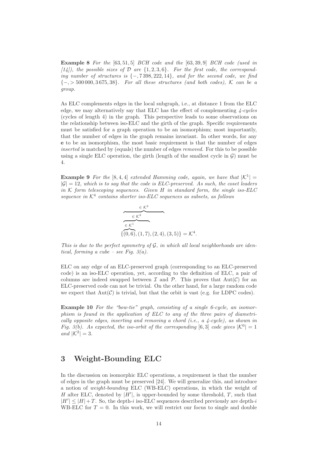Example 8 *For the* [63, 51, 5] *BCH code and the* [63, 39, 9] *BCH code (used in [14]), the possible sizes of* D *are* {1, 2, 3, 6}*. For the first code, the corresponding number of structures is* {−, 7 398, 222, 14}*, and for the second code, we find* {−, > 500 000, 3 675, 38}*. For all these structures (and both codes),* K *can be a group.*

As ELC complements edges in the local subgraph, i.e., at distance 1 from the ELC edge, we may alternatively say that ELC has the effect of complementing *4-cycles* (cycles of length 4) in the graph. This perspective leads to some observations on the relationship between iso-ELC and the girth of the graph. Specific requirements must be satisfied for a graph operation to be an isomorphism; most importantly, that the number of edges in the graph remains invariant. In other words, for any e to be an isomorphism, the most basic requirement is that the number of edges *inserted* is matched by (equals) the number of edges *removed.* For this to be possible using a single ELC operation, the girth (length of the smallest cycle in  $\mathcal{G}$ ) must be 4.

**Example 9** For the [8, 4, 4] extended Hamming code, again, we have that  $|K^1|$  =  $|\mathcal{G}| = 12$ *, which is to say that the code is ELC-preserved. As such, the coset leaders in* K *form telescoping sequences. Given* H *in standard form, the single iso-ELC*  $sequence in \mathcal{K}^4$  contains shorter iso-ELC sequences as subsets, as follows

$$
\begin{array}{c}\n\epsilon \mathcal{K}^3 \\
\hline\n\epsilon \mathcal{K}^1 \\
\hline\n\{ (0,6), (1,7), (2,4), (3,5) \} = \mathcal{K}\n\end{array}
$$

*This is due to the perfect symmetry of* G*, in which all local neighborhoods are identical, forming a cube – see Fig. 3(a).*

4 .

ELC on any edge of an ELC-preserved graph (corresponding to an ELC-preserved code) is an iso-ELC operation, yet, according to the definition of ELC, a pair of columns are indeed swapped between  $\mathcal I$  and  $\mathcal P$ . This proves that  $Aut(\mathcal C)$  for an ELC-preserved code can not be trivial. On the other hand, for a large random code we expect that  $Aut(\mathcal{C})$  is trivial, but that the orbit is vast (e.g. for LDPC codes).

Example 10 *For the "bow-tie" graph, consisting of a single 6-cycle, an isomorphism is found in the application of ELC to any of the three pairs of diametrically opposite edges, inserting and removing a chord (i.e., a 4-cycle), as shown in Fig. 3(b). As expected, the iso-orbit of the corresponding* [6,3] *code gives*  $|K^0| = 1$ *and*  $|K^2| = 3$ *.* 

# 3 Weight-Bounding ELC

In the discussion on isomorphic ELC operations, a requirement is that the number of edges in the graph must be preserved [24]. We will generalize this, and introduce a notion of *weight-bounding* ELC (WB-ELC) operations, in which the weight of H after ELC, denoted by  $|H'|$ , is upper-bounded by some threshold, T, such that  $|H'| \leq |H| + T$ . So, the depth-i iso-ELC sequences described previously are depth-i WB-ELC for  $T = 0$ . In this work, we will restrict our focus to single and double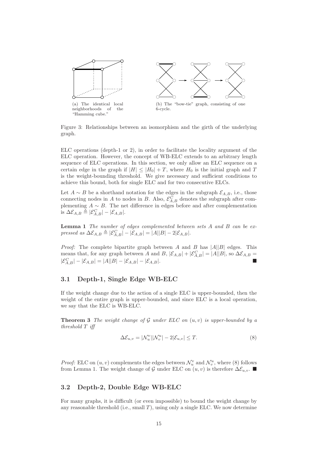

Figure 3: Relationships between an isomorphism and the girth of the underlying graph.

ELC operations (depth-1 or 2), in order to facilitate the locality argument of the ELC operation. However, the concept of WB-ELC extends to an arbitrary length sequence of ELC operations. In this section, we only allow an ELC sequence on a certain edge in the graph if  $|H| \leq |H_0| + T$ , where  $H_0$  is the initial graph and T is the weight-bounding threshold. We give necessary and sufficient conditions to achieve this bound, both for single ELC and for two consecutive ELCs.

Let  $A \sim B$  be a shorthand notation for the edges in the subgraph  $\mathcal{E}_{A,B}$ , i.e., those connecting nodes in A to nodes in B. Also,  $\mathcal{E}_{A,B}^C$  denotes the subgraph after complementing  $A \sim B$ . The net difference in edges before and after complementation is  $\Delta \mathcal{E}_{A,B} \triangleq |\mathcal{E}_{A,B}^C| - |\mathcal{E}_{A,B}|.$ 

Lemma 1 *The number of edges complemented between sets* A *and* B *can be expressed as*  $\Delta \mathcal{E}_{A,B} \triangleq |\mathcal{E}_{A,B}^C| - |\mathcal{E}_{A,B}| = |A||B| - 2|\mathcal{E}_{A,B}|.$ 

*Proof:* The complete bipartite graph between A and B has  $|A||B|$  edges. This means that, for any graph between A and B,  $|\mathcal{E}_{A,B}| + |\mathcal{E}_{A,B}^C| = |A||B|$ , so  $\Delta \mathcal{E}_{A,B} =$  $|\mathcal{E}_{A,B}^C| - |\mathcal{E}_{A,B}| = |A||B| - |\mathcal{E}_{A,B}| - |\mathcal{E}_{A,B}|.$ 

### 3.1 Depth-1, Single Edge WB-ELC

If the weight change due to the action of a single ELC is upper-bounded, then the weight of the entire graph is upper-bounded, and since ELC is a local operation, we say that the ELC is WB-ELC.

Theorem 3 *The weight change of* G *under ELC on* (u, v) *is upper-bounded by a threshold* T *iff*

$$
\Delta \mathcal{E}_{u,v} = |\mathcal{N}_u^v| |\mathcal{N}_v^u| - 2|\mathcal{E}_{u,v}| \le T. \tag{8}
$$

*Proof:* ELC on  $(u, v)$  complements the edges between  $\mathcal{N}_u^v$  and  $\mathcal{N}_v^u$ , where (8) follows from Lemma 1. The weight change of G under ELC on  $(u, v)$  is therefore  $\Delta \mathcal{E}_{u, v}$ .

### 3.2 Depth-2, Double Edge WB-ELC

For many graphs, it is difficult (or even impossible) to bound the weight change by any reasonable threshold (i.e., small  $T$ ), using only a single ELC. We now determine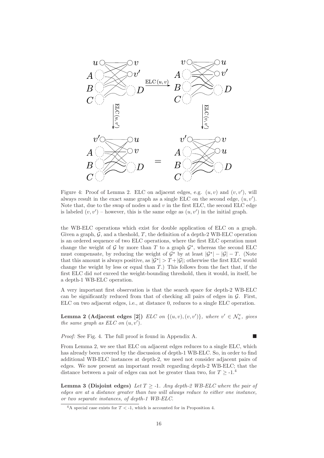

Figure 4: Proof of Lemma 2. ELC on adjacent edges, e.g.  $(u, v)$  and  $(v, v')$ , will always result in the exact same graph as a single ELC on the second edge,  $(u, v')$ . Note that, due to the swap of nodes  $u$  and  $v$  in the first ELC, the second ELC edge is labeled  $(v, v')$  – however, this is the same edge as  $(u, v')$  in the initial graph.

the WB-ELC operations which exist for double application of ELC on a graph. Given a graph,  $\mathcal{G}$ , and a theshold,  $T$ , the definition of a depth-2 WB-ELC operation is an ordered sequence of two ELC operations, where the first ELC operation must change the weight of  $G$  by more than T to a graph  $G^*$ , whereas the second ELC must compensate, by reducing the weight of  $\mathcal{G}^*$  by at least  $|\mathcal{G}^*| - |\mathcal{G}| - T$ . (Note that this amount is always positive, as  $|\mathcal{G}^*| > T + |\mathcal{G}|$ ; otherwise the first ELC would change the weight by less or equal than  $T$ .) This follows from the fact that, if the first ELC did *not* exceed the weight-bounding threshold, then it would, in itself, be a depth-1 WB-ELC operation.

A very important first observation is that the search space for depth-2 WB-ELC can be significantly reduced from that of checking all pairs of edges in  $\mathcal{G}$ . First, ELC on two adjacent edges, i.e., at distance 0, reduces to a single ELC operation.

**Lemma 2 (Adjacent edges [2])** *ELC on*  $\{(u, v), (v, v')\}$ *, where*  $v' \in \mathcal{N}_u^v$ *, gives the same graph as ELC on*  $(u, v')$ *.* 

*Proof:* See Fig. 4. The full proof is found in Appendix A.

From Lemma 2, we see that ELC on adjacent edges reduces to a single ELC, which has already been covered by the discussion of depth-1 WB-ELC. So, in order to find additional WB-ELC instances at depth-2, we need not consider adjacent pairs of edges. We now present an important result regarding depth-2 WB-ELC; that the distance between a pair of edges can not be greater than two, for  $T > -1$ .<sup>4</sup>

**Lemma 3 (Disjoint edges)** Let  $T > -1$ . Any depth-2 WB-ELC where the pair of *edges are at a distance greater than two will always reduce to either one instance, or two separate instances, of depth-1 WB-ELC.*

<sup>&</sup>lt;sup>4</sup>A special case exists for  $T < -1$ , which is accounted for in Proposition 4.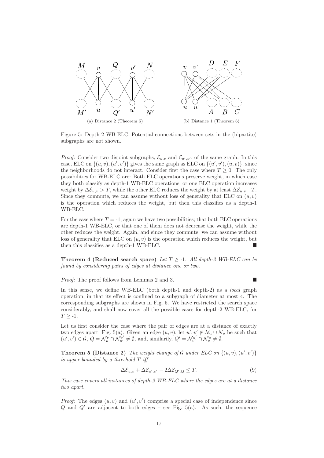

Figure 5: Depth-2 WB-ELC. Potential connections between sets in the (bipartite) subgraphs are not shown.

*Proof:* Consider two disjoint subgraphs,  $\mathcal{E}_{u,v}$  and  $\mathcal{E}_{u',v'}$ , of the same graph. In this case, ELC on  $\{(u, v), (u', v')\}$  gives the same graph as ELC on  $\{(u', v'), (u, v)\}$ , since the neighborhoods do not interact. Consider first the case where  $T \geq 0$ . The only possibilities for WB-ELC are: Both ELC operations preserve weight, in which case they both classify as depth-1 WB-ELC operations, or one ELC operation increases weight by  $\Delta \mathcal{E}_{u,v} > T$ , while the other ELC reduces the weight by at least  $\Delta \mathcal{E}_{u,v} - T$ . Since they commute, we can assume without loss of generality that ELC on  $(u, v)$ is the operation which reduces the weight, but then this classifies as a depth-1 WB-ELC.

For the case where  $T = -1$ , again we have two possibilities; that both ELC operations are depth-1 WB-ELC, or that one of them does not decrease the weight, while the other reduces the weight. Again, and since they commute, we can assume without loss of generality that ELC on  $(u, v)$  is the operation which reduces the weight, but then this classifies as a depth-1 WB-ELC.

**Theorem 4 (Reduced search space)** *Let*  $T > -1$ *. All depth-2 WB-ELC can be found by considering pairs of edges at distance one or two.*

*Proof:* The proof follows from Lemmas 2 and 3. ■

In this sense, we define WB-ELC (both depth-1 and depth-2) as a *local* graph operation, in that its effect is confined to a subgraph of diameter at most 4. The corresponding subgraphs are shown in Fig. 5. We have restricted the search space considerably, and shall now cover all the possible cases for depth-2 WB-ELC, for  $T \geq -1$ .

Let us first consider the case where the pair of edges are at a distance of exactly two edges apart, Fig. 5(a). Given an edge  $(u, v)$ , let  $u', v' \notin \mathcal{N}_u \cup \mathcal{N}_v$  be such that  $(u', v') \in \mathcal{G}, Q = \mathcal{N}_u^v \cap \mathcal{N}_{u'}^{v'} \neq \emptyset$ , and, similarly,  $Q' = \mathcal{N}_{v'}^{u'} \cap \mathcal{N}_v^u \neq \emptyset$ .

**Theorem 5 (Distance 2)** The weight change of  $\mathcal G$  under ELC on  $\{(u, v), (u', v')\}$ *is upper-bounded by a threshold* T *iff*

$$
\Delta \mathcal{E}_{u,v} + \Delta \mathcal{E}_{u',v'} - 2\Delta \mathcal{E}_{Q',Q} \leq T.
$$
\n(9)

*This case covers all instances of depth-2 WB-ELC where the edges are at a distance two apart.*

*Proof:* The edges  $(u, v)$  and  $(u', v')$  comprise a special case of independence since Q and  $Q'$  are adjacent to both edges – see Fig. 5(a). As such, the sequence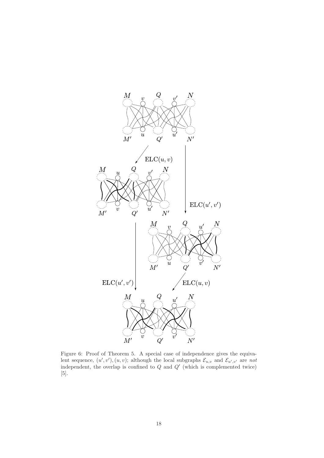

Figure 6: Proof of Theorem 5. A special case of independence gives the equivalent sequence,  $(u', v'), (u, v)$ ; although the local subgraphs  $\mathcal{E}_{u,v}$  and  $\mathcal{E}_{u',v'}$  are *not* independent, the overlap is confined to  $Q$  and  $Q'$  (which is complemented twice) [5].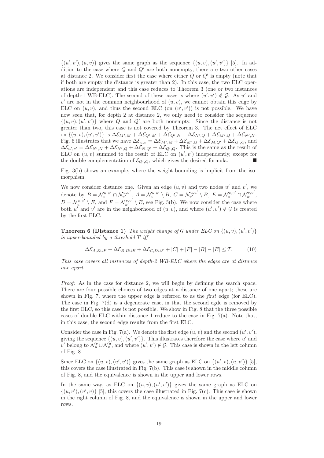$\{(u',v'),(u,v)\}\$ gives the same graph as the sequence  $\{(u,v),(u',v')\}\$  [5]. In addition to the case where  $Q$  and  $Q'$  are both nonempty, there are two other cases at distance 2. We consider first the case where either  $Q$  or  $Q'$  is empty (note that if both are empty the distance is greater than 2). In this case, the two ELC operations are independent and this case reduces to Theorem 3 (one or two instances of depth-1 WB-ELC). The second of these cases is where  $(u', v') \notin G$ . As u' and  $v'$  are not in the common neighbourhood of  $(u, v)$ , we cannot obtain this edge by ELC on  $(u, v)$ , and thus the second ELC (on  $(u', v')$ ) is not possible. We have now seen that, for depth 2 at distance 2, we only need to consider the sequence  $\{(u, v), (u', v')\}$  where Q and Q' are both nonempty. Since the distance is not greater than two, this case is not covered by Theorem 3. The net effect of ELC on  $\{(u, v), (u', v')\}$  is  $\Delta \mathcal{E}_{M',M} + \Delta \mathcal{E}_{Q',M} + \Delta \mathcal{E}_{Q',N} + \Delta \mathcal{E}_{N',Q} + \Delta \mathcal{E}_{M',Q} + \Delta \mathcal{E}_{N',N}$ . Fig. 6 illustrates that we have  $\Delta \mathcal{E}_{u,v} = \Delta \mathcal{E}_{M',M} + \Delta \mathcal{E}_{M',Q} + \Delta \mathcal{E}_{M,Q'} + \Delta \mathcal{E}_{Q',Q}$ , and  $\Delta \mathcal{E}_{u',v'} = \Delta \mathcal{E}_{N',N} + \Delta \mathcal{E}_{N',Q} + \Delta \mathcal{E}_{N,Q'} + \Delta \mathcal{E}_{Q',Q}.$  This is the same as the result of ELC on  $(u, v)$  summed to the result of ELC on  $(u', v')$  independently, except for the double complementation of  $\mathcal{E}_{Q',Q}$ , which gives the desired formula.

Fig. 3(b) shows an example, where the weight-bounding is implicit from the isomorphism.

We now consider distance one. Given an edge  $(u, v)$  and two nodes u' and v', we denote by  $B = \mathcal{N}_{v}^{u,u'} \cap \mathcal{N}_{v'}^{u,u'}, A = \mathcal{N}_{v}^{u,u'} \setminus B, C = \mathcal{N}_{v'}^{u,u'} \setminus B, E = \mathcal{N}_{u}^{v,v'} \cap \mathcal{N}_{u'}^{v,v'},$  $D = \mathcal{N}_u^{v,v'} \setminus E$ , and  $F = \mathcal{N}_{u'}^{v,v'} \setminus E$ , see Fig. 5(b). We now consider the case where both u' and v' are in the neighborhood of  $(u, v)$ , and where  $(u', v') \notin \mathcal{G}$  is created by the first ELC.

**Theorem 6 (Distance 1)** The weight change of  $\mathcal G$  under ELC on  $\{(u, v), (u', v')\}$ *is upper-bounded by a threshold* T *iff*

$$
\Delta \mathcal{E}_{A,E\cup F} + \Delta \mathcal{E}_{B,D\cup E} + \Delta \mathcal{E}_{C,D\cup F} + |C| + |F| - |B| - |E| \le T.
$$
 (10)

*This case covers all instances of depth-2 WB-ELC where the edges are at distance one apart.*

*Proof:* As in the case for distance 2, we will begin by defining the search space. There are four possible choices of two edges at a distance of one apart; these are shown in Fig. 7, where the upper edge is referred to as the *first* edge (for ELC). The case in Fig. 7(d) is a degenerate case, in that the second egde is removed by the first ELC, so this case is not possible. We show in Fig. 8 that the three possible cases of double ELC within distance 1 reduce to the case in Fig.  $7(a)$ . Note that, in this case, the second edge results from the first ELC.

Consider the case in Fig. 7(a). We denote the first edge  $(u, v)$  and the second  $(u', v')$ , giving the sequence  $\{(u, v), (u', v')\}$ . This illustrates therefore the case where u' and v' belong to  $\mathcal{N}_u^v \cup \mathcal{N}_v^u$ , and where  $(u', v') \notin \mathcal{G}$ . This case is shown in the left column of Fig. 8.

Since ELC on  $\{(u, v), (u', v')\}$  gives the same graph as ELC on  $\{(u', v), (u, v')\}$  [5], this covers the case illustrated in Fig. 7(b). This case is shown in the middle column of Fig. 8, and the equivalence is shown in the upper and lower rows.

In the same way, as ELC on  $\{(u, v), (u', v')\}$  gives the same graph as ELC on  $\{(u, v'), (u', v)\}\$ [5], this covers the case illustrated in Fig. 7(c). This case is shown in the right column of Fig. 8, and the equivalence is shown in the upper and lower rows.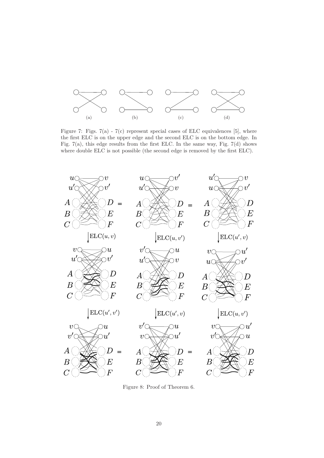

Figure 7: Figs.  $7(a)$  -  $7(c)$  represent special cases of ELC equivalences [5], where the first ELC is on the upper edge and the second ELC is on the bottom edge. In Fig. 7(a), this edge results from the first ELC. In the same way, Fig. 7(d) shows where double ELC is not possible (the second edge is removed by the first ELC).



Figure 8: Proof of Theorem 6.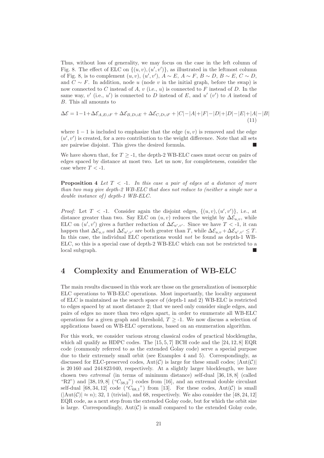Thus, without loss of generality, we may focus on the case in the left column of Fig. 8. The effect of ELC on  $\{(u, v), (u', v')\}$ , as illustrated in the leftmost column of Fig. 8, is to complement  $(u, v), (u', v'), A \sim E, A \sim F, B \sim D, B \sim E, C \sim D$ , and  $C \sim F$ . In addition, node u (node v in the initial graph, before the swap) is now connected to C instead of A,  $v$  (i.e.,  $u$ ) is connected to F instead of D. In the same way,  $v'$  (i.e.,  $u'$ ) is connected to D instead of E, and  $u'$  ( $v'$ ) to A instead of B. This all amounts to

$$
\Delta \mathcal{E} = 1 - 1 + \Delta \mathcal{E}_{A, E \cup F} + \Delta \mathcal{E}_{B, D \cup E} + \Delta \mathcal{E}_{C, D \cup F} + |C| - |A| + |F| - |D| + |D| - |E| + |A| - |B|
$$
\n(11)

where  $1 - 1$  is included to emphasize that the edge  $(u, v)$  is removed and the edge  $(u', v')$  is created, for a zero contribution to the weight difference. Note that all sets are pairwise disjoint. This gives the desired formula.

We have shown that, for  $T \geq -1$ , the depth-2 WB-ELC cases must occur on pairs of edges spaced by distance at most two. Let us now, for completeness, consider the case where  $T < -1$ .

Proposition 4 *Let* T < *-*1*. In this case a pair of edges at a distance of more than two may give depth-2 WB-ELC that does not reduce to (neither a single nor a double instance of ) depth-1 WB-ELC.*

*Proof:* Let  $T < -1$ . Consider again the disjoint edges,  $\{(u, v), (u', v')\}$ , i.e., at distance greater than two. Say ELC on  $(u, v)$  reduces the weight by  $\Delta \mathcal{E}_{u,v}$ , while ELC on  $(u', v')$  gives a further reduction of  $\Delta \mathcal{E}_{u', v'}$ . Since we have  $T < -1$ , it can happen that  $\Delta \mathcal{E}_{u,v}$  and  $\Delta \mathcal{E}_{u',v'}$  are both greater than T, while  $\Delta \mathcal{E}_{u,v} + \Delta \mathcal{E}_{u',v'} \leq T$ . In this case, the individual ELC operations would *not* be found as depth-1 WB-ELC, so this is a special case of depth-2 WB-ELC which can not be restricted to a local subgraph.

# 4 Complexity and Enumeration of WB-ELC

The main results discussed in this work are those on the generalization of isomorphic ELC operations to WB-ELC operations. Most importantly, the locality argument of ELC is maintained as the search space of (depth-1 and 2) WB-ELC is restricted to edges spaced by at most distance 2; that we need only consider single edges, and pairs of edges no more than two edges apart, in order to enumerate all WB-ELC operations for a given graph and threshold,  $T \geq -1$ . We now discuss a selection of applications based on WB-ELC operations, based on an enumeration algorithm.

For this work, we consider various strong classical codes of practical blocklengths, which all qualify as HDPC codes. The [15, 5, 7] BCH code and the [24, 12, 8] EQR code (commonly referred to as the extended Golay code) serve a special purpose due to their extremely small orbit (see Examples 4 and 5). Correspondingly, as discussed for ELC-preserved codes,  $Aut(\mathcal{C})$  is large for these small codes;  $|Aut(\mathcal{C})|$ is 20 160 and 244 823 040, respectively. At a slightly larger blocklength, we have chosen two *extremal* (in terms of minimum distance) self-dual [36, 18, 8] (called "R2") and  $[38, 19, 8]$  (" $C_{38, 2}$ ") codes from [16], and an extremal double circulant self-dual  $[68, 34, 12]$  code  $({}^{\omega}C_{68,1}$ ") from [13]. For these codes, Aut $(\mathcal{C})$  is small  $(|Aut(\mathcal{C})| \approx n);$  32, 1 (trivial), and 68, respectively. We also consider the [48, 24, 12] EQR code, as a next step from the extended Golay code, but for which the orbit size is large. Correspondingly,  $Aut(\mathcal{C})$  is small compared to the extended Golay code,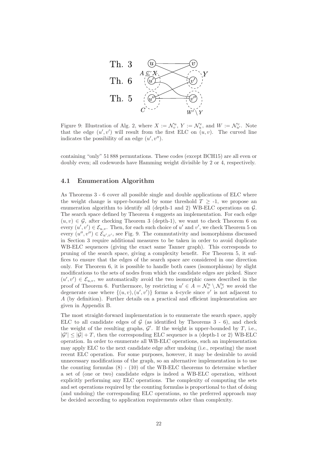

Figure 9: Illustration of Alg. 2, where  $X := \mathcal{N}_v^u$ ,  $Y := \mathcal{N}_u^v$ , and  $W := \mathcal{N}_{u'}^v$ . Note that the edge  $(u', v')$  will result from the first ELC on  $(u, v)$ . The curved line indicates the possibility of an edge  $(u', v'')$ .

containing "only" 51 888 permutations. These codes (except BCH15) are all even or doubly even; all codewords have Hamming weight divisible by 2 or 4, respectively.

### 4.1 Enumeration Algorithm

As Theorems 3 - 6 cover all possible single and double applications of ELC where the weight change is upper-bounded by some threshold  $T \ge -1$ , we propose an enumeration algorithm to identify all (depth-1 and 2) WB-ELC operations on  $\mathcal{G}$ . The search space defined by Theorem 4 suggests an implementation. For each edge  $(u, v) \in \mathcal{G}$ , after checking Theorem 3 (depth-1), we want to check Theorem 6 on every  $(u', v') \in \mathcal{E}_{u,v}$ . Then, for each such choice of u' and v', we check Theorem 5 on every  $(u'', v'') \in \mathcal{E}_{u', v'}$ , see Fig. 9. The commutativity and isomorphisms discussed in Section 3 require additional measures to be taken in order to avoid duplicate WB-ELC sequences (giving the exact same Tanner graph). This corresponds to pruning of the search space, giving a complexity benefit. For Theorem 5, it suffices to ensure that the edges of the search space are considered in one direction only. For Theorem 6, it is possible to handle both cases (isomorphisms) by slight modifications to the sets of nodes from which the candidate edges are picked. Since  $(u',v') \in \mathcal{E}_{u,v}$ , we automatically avoid the two isomorphic cases described in the proof of Theorem 6. Furthermore, by restricting  $u' \in A = \mathcal{N}_v^u \setminus \mathcal{N}_{v'}^u$  we avoid the degenerate case where  $\{(u, v), (u', v')\}$  forms a 4-cycle since v' is not adjacent to A (by definition). Further details on a practical and efficient implementation are given in Appendix B.

The most straight-forward implementation is to enumerate the search space, apply ELC to all candidate edges of  $G$  (as identified by Theorems 3 - 6), and check the weight of the resulting graphs,  $\mathcal{G}'$ . If the weight is upper-bounded by  $T$ , i.e.,  $|\mathcal{G}'| \leq |\mathcal{G}| + T$ , then the corresponding ELC sequence is a (depth-1 or 2) WB-ELC operation. In order to enumerate all WB-ELC operations, such an implementation may apply ELC to the next candidate edge after undoing (i.e., repeating) the most recent ELC operation. For some purposes, however, it may be desirable to avoid unnecessary modifications of the graph, so an alternative implementation is to use the counting formulas  $(8)$  -  $(10)$  of the WB-ELC theorems to determine whether a set of (one or two) candidate edges is indeed a WB-ELC operation, without explicitly performing any ELC operations. The complexity of computing the sets and set operations required by the counting formulas is proportional to that of doing (and undoing) the corresponding ELC operations, so the preferred approach may be decided according to application requirements other than complexity.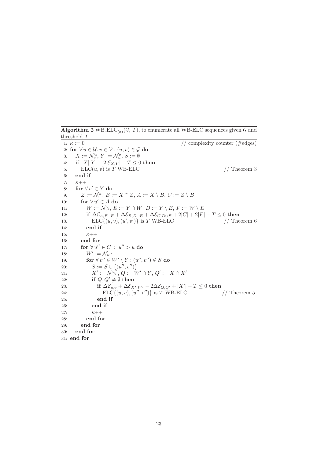Algorithm 2 WB  $ELC_{(a)}(\mathcal{G}, T)$ , to enumerate all WB-ELC sequences given  $\mathcal{G}$  and threshold T. 1:  $\kappa := 0$  // complexity counter (#edges) 2: for  $\forall u \in \mathcal{U}, v \in \mathcal{V} : (u, v) \in \mathcal{G}$  do 3:  $X := \mathcal{N}_v^u, Y := \mathcal{N}_u^v, S := \emptyset$ 4: if  $|X||Y| - 2|\mathcal{E}_{X,Y}| - T \leq 0$  then 5:  $ELC(u, v)$  is T WB-ELC // Theorem 3 6: end if 7:  $\kappa$ ++ 8: for  $\forall v' \in Y$  do 9:  $Z := \mathcal{N}_{v'}^u$ ,  $B := X \cap Z$ ,  $A := X \setminus B$ ,  $C := Z \setminus B$ 10: for  $\forall u' \in A$  do 11:  $W := \mathcal{N}_{u'}^v, E := Y \cap W, D := Y \setminus E, F := W \setminus E$ 12: if  $\Delta \mathcal{E}_{A,E\cup F} + \Delta \mathcal{E}_{B,D\cup E} + \Delta \mathcal{E}_{C,D\cup F} + 2|C| + 2|F| - T \leq 0$  then 13: ELC $\{(u, v), (u', v')\}$  is T WB-ELC // Theorem 6 14: end if 15:  $\kappa$ ++ 16: end for 17: for  $\forall u'' \in C : u'' > u$  do 18:  $W' := \mathcal{N}_{u''}$ 19: for  $\forall v'' \in W' \setminus Y : (u'', v'') \notin S$  do 20:  $S := S \cup \{(u'', v'')\}$ 21:  $X' := \mathcal{N}_{v''}^{u''}, Q := W' \cap Y, Q' := X \cap X'$ 22: if  $Q, Q' \neq \emptyset$  then 23:  $\qquad \qquad \text{if} \ \Delta \mathcal{E}_{u,v} + \Delta \mathcal{E}_{X',W'} - 2\Delta \mathcal{E}_{Q,Q'} + |X'| - T \leq 0 \text{ then}$ 24: ELC $\{(u, v), (u'', v'')\}$  is T WB-ELC // Theorem 5 25: end if 26: end if 27:  $\kappa$ ++ 28: end for 29: end for 30: end for 31: end for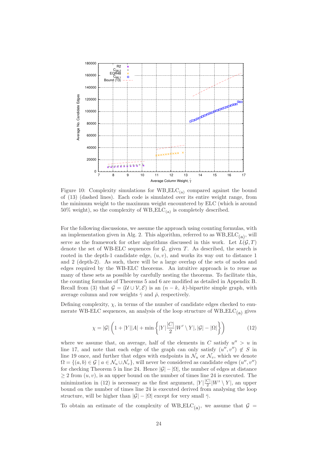

Figure 10: Complexity simulations for  $WBELC_{(a)}$  compared against the bound of (13) (dashed lines). Each code is simulated over its entire weight range, from the minimum weight to the maximum weight encountered by ELC (which is around 50% weight), so the complexity of  $WBELC_{(a)}$  is completely described.

For the following discussions, we assume the approach using counting formulas, with an implementation given in Alg. 2. This algorithm, referred to as  $WBELC_{(a)}$ , will serve as the framework for other algorithms discussed in this work. Let  $L(G, T)$ denote the set of WB-ELC sequences for  $G$ , given T. As described, the search is rooted in the depth-1 candidate edge,  $(u, v)$ , and works its way out to distance 1 and 2 (depth-2). As such, there will be a large overlap of the sets of nodes and edges required by the WB-ELC theorems. An intuitive approach is to reuse as many of these sets as possible by carefully nesting the theorems. To facilitate this, the counting formulas of Theorems 5 and 6 are modified as detailed in Appendix B. Recall from (3) that  $\mathcal{G} = (\mathcal{U} \cup \mathcal{V}, \mathcal{E})$  is an  $(n - k, k)$ -bipartite simple graph, with average column and row weights  $\bar{\gamma}$  and  $\bar{\rho}$ , respectively.

Defining complexity,  $\chi$ , in terms of the number of candidate edges checked to enumerate WB-ELC sequences, an analysis of the loop structure of  $WBELC_{(a)}$  gives

$$
\chi = |\mathcal{G}| \left( 1 + |Y||A| + \min\left\{ |Y| \frac{|C|}{2} |W' \setminus Y|, |\mathcal{G}| - |\Omega| \right\} \right) \tag{12}
$$

where we assume that, on average, half of the elements in  $C$  satisfy  $u'' > u$  in line 17, and note that each edge of the graph can only satisfy  $(u'', v'') \notin S$  in line 19 once, and further that edges with endpoints in  $\mathcal{N}_u$  or  $\mathcal{N}_v$ , which we denote  $\Omega = \{(a, b) \in \mathcal{G} \mid a \in \mathcal{N}_u \cup \mathcal{N}_v\}$ , will never be considered as candidate edges  $(u'', v'')$ for checking Theorem 5 in line 24. Hence  $|\mathcal{G}| - |\Omega|$ , the number of edges at distance  $\geq 2$  from  $(u, v)$ , is an upper bound on the number of times line 24 is executed. The minimization in (12) is necessary as the first argument,  $|Y|\frac{|C|}{2}$  $\frac{C}{2}$ |W' \ Y|, an upper bound on the number of times line 24 is executed derived from analysing the loop structure, will be higher than  $|\mathcal{G}| - |\Omega|$  except for very small  $\bar{\gamma}$ .

To obtain an estimate of the complexity of WB\_ELC<sub>(a)</sub>, we assume that  $\mathcal{G}$  =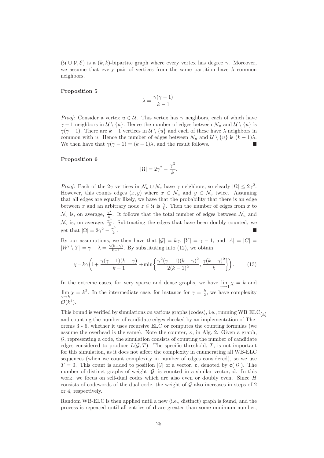$(U \cup V, \mathcal{E})$  is a  $(k, k)$ -bipartite graph where every vertex has degree  $\gamma$ . Moreover, we assume that every pair of vertices from the same partition have  $\lambda$  common neighbors.

#### Proposition 5

$$
\lambda = \frac{\gamma(\gamma - 1)}{k - 1}.
$$

*Proof:* Consider a vertex  $u \in \mathcal{U}$ . This vertex has  $\gamma$  neighbors, each of which have  $\gamma - 1$  neighbors in  $\mathcal{U} \setminus \{u\}$ . Hence the number of edges between  $\mathcal{N}_u$  and  $\mathcal{U} \setminus \{u\}$  is  $\gamma(\gamma - 1)$ . There are k – 1 vertices in  $\mathcal{U} \setminus \{u\}$  and each of these have  $\lambda$  neighbors in common with u. Hence the number of edges between  $\mathcal{N}_u$  and  $\mathcal{U} \setminus \{u\}$  is  $(k-1)\lambda$ . We then have that  $\gamma(\gamma - 1) = (k - 1)\lambda$ , and the result follows.

#### Proposition 6

$$
|\Omega| = 2\gamma^2 - \frac{\gamma^3}{k}.
$$

*Proof:* Each of the  $2\gamma$  vertices in  $\mathcal{N}_u \cup \mathcal{N}_v$  have  $\gamma$  neighbors, so clearly  $|\Omega| \leq 2\gamma^2$ . However, this counts edges  $(x, y)$  where  $x \in \mathcal{N}_u$  and  $y \in \mathcal{N}_v$  twice. Assuming that all edges are equally likely, we have that the probability that there is an edge between x and an arbitrary node  $z \in \mathcal{U}$  is  $\frac{\gamma}{k}$ . Then the number of edges from x to  $\mathcal{N}_v$  is, on average,  $\frac{\gamma^2}{k}$  $\frac{\sqrt{r}}{k}$ . It follows that the total number of edges between  $\mathcal{N}_u$  and  $\mathcal{N}_v$  is, on average,  $\frac{\gamma^3}{k}$  $\frac{\gamma}{k}$ . Subtracting the edges that have been doubly counted, we get that  $|\Omega| = 2\gamma^2 - \frac{\gamma^3}{k}$ k .

By our assumptions, we then have that  $|\mathcal{G}| = k\gamma$ ,  $|Y| = \gamma - 1$ , and  $|A| = |C| =$  $|W' \setminus Y| = \gamma - \lambda = \frac{\gamma(k-\gamma)}{k-1}$  $\frac{(k-\gamma)}{k-1}$ . By substituting into (12), we obtain

$$
\chi = k\gamma \left( 1 + \frac{\gamma(\gamma - 1)(k - \gamma)}{k - 1} + \min\left\{ \frac{\gamma^2(\gamma - 1)(k - \gamma)^2}{2(k - 1)^2}, \frac{\gamma(k - \gamma)^2}{k} \right\} \right). \tag{13}
$$

In the extreme cases, for very sparse and dense graphs, we have  $\lim_{\gamma \to 1} \chi = k$  and  $\lim_{\gamma \to k} \chi = k^2$ . In the intermediate case, for instance for  $\gamma = \frac{k}{2}$ , we have complexity  $\mathcal{O}(k^4)$ .

This bound is verified by simulations on various graphs (codes), i.e., running  $WBELC_{(a)}$ and counting the number of candidate edges checked by an implementation of Theorems 3 - 6, whether it uses recursive ELC or computes the counting formulas (we assume the overhead is the same). Note the counter,  $\kappa$ , in Alg. 2. Given a graph,  $G$ , representing a code, the simulation consists of counting the number of candidate edges considered to produce  $L(G, T)$ . The specific threshold, T, is not important for this simulation, as it does not affect the complexity in enumerating all WB-ELC sequences (when we count complexity in number of edges considered), so we use  $T = 0$ . This count is added to position |G| of a vector, c, denoted by c(|G|). The number of distinct graphs of weight  $|\mathcal{G}|$  is counted in a similar vector, **d**. In this work, we focus on self-dual codes which are also even or doubly even. Since H consists of codewords of the dual code, the weight of  $G$  also increases in steps of 2 or 4, respectively.

Random WB-ELC is then applied until a new (i.e., distinct) graph is found, and the process is repeated until all entries of d are greater than some minimum number,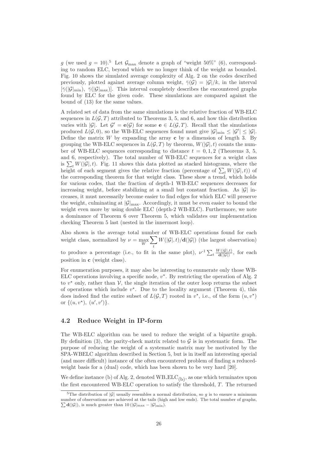g (we used  $g = 10$ ).<sup>5</sup> Let  $\mathcal{G}_{\text{max}}$  denote a graph of "weight 50%" (6), corresponding to random ELC, beyond which we no longer think of the weight as bounded. Fig. 10 shows the simulated average complexity of Alg. 2 on the codes described previously, plotted against average column weight,  $\bar{\gamma}(\mathcal{G}) = |\mathcal{G}|/k$ , in the interval  $[\bar{\gamma}(|\mathcal{G}|_{\min}), \bar{\gamma}(|\mathcal{G}|_{\max})]$ . This interval completely describes the encountered graphs found by ELC for the given code. These simulations are compared against the bound of (13) for the same values.

A related set of data from the same simulations is the relative fraction of WB-ELC sequences in  $L(G, T)$  attributed to Theorems 3, 5, and 6, and how this distribution varies with  $|\mathcal{G}|$ . Let  $\mathcal{G}' = \mathbf{e}(\mathcal{G})$  for some  $\mathbf{e} \in L(\mathcal{G}, T)$ . Recall that the simulations produced  $L(\mathcal{G}, 0)$ , so the WB-ELC sequences found must give  $|\mathcal{G}|_{\min} \leq |\mathcal{G}'| \leq |\mathcal{G}|$ . Define the matrix  $W$  by expanding the array  $c$  by a dimension of length 3. By grouping the WB-ELC sequences in  $L(G, T)$  by theorem,  $W(|\mathcal{G}|, t)$  counts the number of WB-ELC sequences corresponding to distance  $t = 0, 1, 2$  (Theorems 3, 5, and 6, respectively). The total number of WB-ELC sequences for a weight class is  $\sum_t W(|\mathcal{G}|, t)$ . Fig. 11 shows this data plotted as stacked histograms, where the height of each segment gives the relative fraction (percentage of  $\sum_t W(|\mathcal{G}|, t)$ ) of the corresponding theorem for that weight class. These show a trend, which holds for various codes, that the fraction of depth-1 WB-ELC sequences decreases for increasing weight, before stabilizing at a small but constant fraction. As  $|\mathcal{G}|$  increases, it must necessarily become easier to find edges for which ELC will preserve the weight, culminating at  $|\mathcal{G}|_{\text{max}}$ . Accordingly, it must be even easier to bound the weight even more by using double ELC (depth-2 WB-ELC). Furthermore, we note a dominance of Theorem 6 over Theorem 5, which validates our implementation checking Theorem 5 last (nested in the innermost loop).

Also shown is the average total number of WB-ELC operations found for each weight class, normalized by  $\nu = \max_{W}$  $\sum$ t  $W(|\mathcal{G}|, t)/d(|\mathcal{G}|)$  (the largest observation)

to produce a percentage (i.e., to fit in the same plot),  $\nu^{-1} \sum_{t} \frac{W(|\mathcal{G}|,t)}{\mathbf{d}(|\mathcal{G}|)}$ , for each position in c (weight class).

For enumeration purposes, it may also be interesting to enumerate only those WB-ELC operations involving a specific node,  $v^*$ . By restricting the operation of Alg. 2 to  $v^*$  only, rather than  $V$ , the single iteration of the outer loop returns the subset of operations which include  $v^*$ . Due to the locality argument (Theorem 4), this does indeed find the entire subset of  $L(G,T)$  rooted in  $v^*$ , i.e., of the form  $(u, v^*)$ or  $\{(u, v^*), (u', v')\}.$ 

# 4.2 Reduce Weight in IP-form

The WB-ELC algorithm can be used to reduce the weight of a bipartite graph. By definition (3), the parity-check matrix related to  $\mathcal G$  is in systematic form. The purpose of reducing the weight of a systematic matrix may be motivated by the SPA-WBELC algorithm described in Section 5, but is in itself an interesting special (and more difficult) instance of the often encountered problem of finding a reducedweight basis for a (dual) code, which has been shown to be very hard [20].

We define instance (b) of Alg. 2, denoted  $\operatorname{WB\_ELC}_{(b)},$  as one which terminates upon the first encountered WB-ELC operation to satisfy the threshold, T. The returned

<sup>&</sup>lt;sup>5</sup>The distribution of  $|\mathcal{G}|$  usually resembles a normal distribution, so g is to ensure a minimum number of observations are achieved at the tails (high and lo w ends). The total number of graphs,  $\sum d(|\mathcal{G}|)$ , is much greater than 10  $(|\mathcal{G}|_{\text{max}} - |\mathcal{G}|_{\text{min}})$ .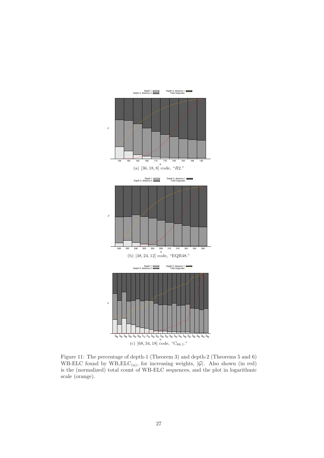

Figure 11: The percentage of depth-1 (Theorem 3) and depth-2 (Theorems 5 and 6) WB-ELC found by  $W\text{B-ELC}_{(a)}$ , for increasing weights,  $|\mathcal{G}|$ . Also shown (in red) is the (normalized) total count of WB-ELC sequences, and the plot in logarithmic scale (orange).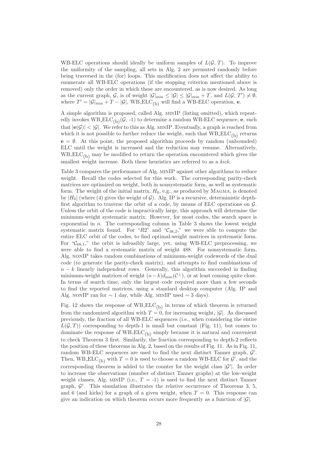WB-ELC operations should ideally be uniform samples of  $L(G, T)$ . To improve the uniformity of the sampling, all sets in Alg. 2 are permuted randomly before being traversed in the (for) loops. This modification does not affect the ability to enumerate all WB-ELC operations (if the stopping criterion mentioned above is removed) only the order in which these are encountered, as is now desired. As long as the current graph, G, is of weight  $|\mathcal{G}|_{\min} \leq |\mathcal{G}| \leq |\mathcal{G}|_{\min} + T$ , and  $L(\mathcal{G}, T') \neq \emptyset$ , where  $T' = |\mathcal{G}|_{\min} + T - |\mathcal{G}|$ , WB\_ELC<sub>(b)</sub> will find a WB-ELC operation, e.

A simple algorithm is proposed, called Alg. minIP (listing omitted), which repeatedly invokes WB  $ELC_{(b)}(\mathcal{G}, -1)$  to determine a random WB-ELC sequence, e, such that  $|e(\mathcal{G})| < |\mathcal{G}|$ . We refer to this as Alg. MINIP. Eventually, a graph is reached from which it is not possible to further reduce the weight, such that  $WBELC_{(b)}$  returns  $e = \emptyset$ . At this point, the proposed algorithm proceeds by random (unbounded) ELC until the weight is increased and the reduction may resume. Alternatively,  $WBELC_{(b)}$  may be modified to return the operation encountered which gives the smallest weight increase. Both these heuristics are referred to as a *kick.*

Table 3 compares the performance of Alg. minIP against other algorithms to reduce weight. Recall the codes selected for this work. The corresponding parity-check matrices are optimized on weight, both in nonsystematic form, as well as systematic form. The weight of the initial matrix,  $H_0$ , e.g., as produced by MAGMA, is denoted by  $|H_0|$  (where (4) gives the weight of G). Alg. IP is a recursive, deterministic depthfirst algorithm to traverse the orbit of a code, by means of ELC operations on G. Unless the orbit of the code is impractically large, this approach will determine the minimum-weight systematic matrix. However, for most codes, the search space is exponential in  $n$ . The corresponding column in Table 3 shows the lowest weight systematic matrix found. For "R2" and " $C_{38,2}$ ," we were able to compute the entire ELC orbit of the codes, to find optimal-weight matrices in systematic form. For " $C_{68,1}$ ," the orbit is infeasibly large, yet, using WB-ELC preprocessing, we were able to find a systematic matrix of weight 488. For nonsystematic form, Alg. nonIP takes random combinations of minimum-weight codewords of the dual code (to generate the parity-check matrix), and attempts to find combinations of  $n - k$  linearly independent rows. Generally, this algorithm succeeded in finding minimum-weight matrices of weight  $(n-k)d_{\min}(\mathcal{C}^{\perp})$ , or at least coming quite close. In terms of search time, only the largest code required more than a few seconds to find the reported matrices, using a standard desktop computer (Alg. IP and Alg. nonIP ran for  $\sim 1$  day, while Alg. MINIP used  $\sim 3$  days).

Fig. 12 shows the response of  $WBELC_{(b)}$  in terms of which theorem is returned from the randomized algorithm with  $T = 0$ , for increasing weight, |G|. As discussed previously, the fraction of all WB-ELC sequences (i.e., when considering the entire  $L(\mathcal{G}, T)$  corresponding to depth-1 is small but constant (Fig. 11), but comes to dominate the response of  $WBELC_{(b)}$  simply because it is natural and convenient to check Theorem 3 first. Similarily, the fraction corresponding to depth-2 reflects the position of these theorems in Alg. 2, based on the results of Fig. 11. As in Fig. 11, random WB-ELC sequences are used to find the next distinct Tanner graph,  $\mathcal{G}'$ . Then, WB\_ELC<sub>(b)</sub> with  $T = 0$  is used to choose a random WB-ELC for  $\mathcal{G}'$ , and the corresponding theorem is added to the counter for the weight class  $|\mathcal{G}'|$ . In order to increase the observations (number of distinct Tanner graphs) at the low-weight weight classes, Alg. MINIP (i.e.,  $T = -1$ ) is used to find the next distinct Tanner graph,  $\mathcal{G}'$ . This simulation illustrates the relative occurrence of Theorems 3, 5, and 6 (and kicks) for a graph of a given weight, when  $T = 0$ . This response can give an indication on which theorem occurs more frequently as a function of  $|\mathcal{G}|$ .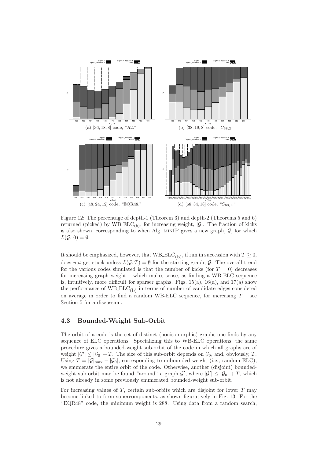

Figure 12: The percentage of depth-1 (Theorem 3) and depth-2 (Theorems 5 and 6) returned (picked) by  $WBELC_{(b)}$ , for increasing weight,  $|\mathcal{G}|$ . The fraction of kicks is also shown, corresponding to when Alg. MINIP gives a new graph,  $G$ , for which  $L(\mathcal{G}, 0) = \emptyset.$ 

It should be emphasized, however, that WB  $\text{ELC}_{(b)}$ , if run in succession with  $T \geq 0$ , does *not* get stuck unless  $L(G, T) = \emptyset$  for the starting graph, G. The overall trend for the various codes simulated is that the number of kicks (for  $T = 0$ ) decreases for increasing graph weight – which makes sense, as finding a WB-ELC sequence is, intuitively, more difficult for sparser graphs. Figs. 15(a), 16(a), and 17(a) show the performance of  $WBELC_{(b)}$  in terms of number of candidate edges considered on average in order to find a random WB-ELC sequence, for increasing  $T$  – see Section 5 for a discussion.

# 4.3 Bounded-Weight Sub-Orbit

The orbit of a code is the set of distinct (nonisomorphic) graphs one finds by any sequence of ELC operations. Specializing this to WB-ELC operations, the same procedure gives a bounded-weight sub-orbit of the code in which all graphs are of weight  $|\mathcal{G}'| \leq |\mathcal{G}_0| + T$ . The size of this sub-orbit depends on  $\mathcal{G}_0$ , and, obviously, T. Using  $T = |\mathcal{G}|_{\text{max}} - |\mathcal{G}_0|$ , corresponding to unbounded weight (i.e., random ELC), we enumerate the entire orbit of the code. Otherwise, another (disjoint) boundedweight sub-orbit may be found "around" a graph  $\mathcal{G}'$ , where  $|\mathcal{G}'| \leq |\mathcal{G}_0| + T$ , which is not already in some previously enumerated bounded-weight sub-orbit.

For increasing values of  $T$ , certain sub-orbits which are disjoint for lower  $T$  may become linked to form supercomponents, as shown figuratively in Fig. 13. For the "EQR48" code, the minimum weight is 288. Using data from a random search,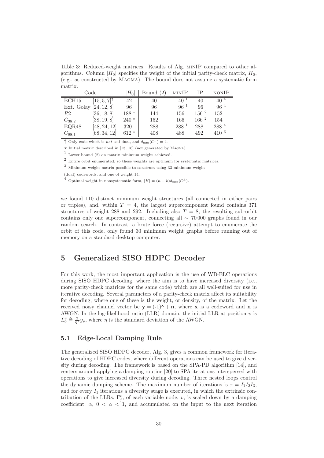Table 3: Reduced-weight matrices. Results of Alg. minIP compared to other algorithms. Column  $|H_0|$  specifies the weight of the initial parity-check matrix,  $H_0$ , (e.g., as constructed by Magma). The bound does not assume a systematic form matrix.

|            | Code                      | $ H_0 $ | Bound $(2)$ | MINIP              | IΡ               | <b>NONIP</b>     |
|------------|---------------------------|---------|-------------|--------------------|------------------|------------------|
| BCH15      | $[15, 5, 7]$ <sup>†</sup> | 42      | 40          | $40^{-1}$          | 40               | $40^4$           |
| Ext. Golay | [24, 12, 8]               | 96      | 96          | $96^{\frac{1}{1}}$ | 96               | $96^{4}$         |
| R2         | [36, 18, 8]               | 188 $*$ | 144         | 156                | $156\ ^2$        | 152              |
| $C_{38,2}$ | [38, 19, 8]               | $240*$  | 152         | 166                | 166 <sup>2</sup> | 154              |
| EQR48      | [48, 24, 12]              | 320     | 288         | 288 <sup>1</sup>   | 288              | $288^{4}$        |
| $C_{68,1}$ | [68, 34, 12]              | $612*$  | 408         | 488                | 492              | 410 <sup>3</sup> |

 $\dagger$  Only code which is *not* self-dual, and  $d_{\min}(\mathcal{C}^{\perp})=4$ .

 $\star$  Initial matrix described in [13, 16] (not generated by MAGMA).

 $1$  Lower bound (2) on matrix minimum weight achieved.

 $^2\,$  Entire orbit enumerated, so these weights are optimum for systematic matrices.

 $^3$  Minimum-weight matrix possible to construct using  $33$  minimum-weight

(dual) codewords, and one of weight 14.

<sup>4</sup> Optimal weight in nonsystematic form,  $|H| = (n - k)d_{\min}(\mathcal{C}^{\perp}).$ 

we found 110 distinct minimum weight structures (all connected in either pairs or triples), and, within  $T = 4$ , the largest supercomponent found contains 371 structures of weight 288 and 292. Including also  $T = 8$ , the resulting sub-orbit contains only one supercomponent, connecting all ∼ 70 000 graphs found in our random search. In contrast, a brute force (recursive) attempt to enumerate the orbit of this code, only found 30 minimum weight graphs before running out of memory on a standard desktop computer.

# 5 Generalized SISO HDPC Decoder

For this work, the most important application is the use of WB-ELC operations during SISO HDPC decoding, where the aim is to have increased diversity (i.e., more parity-check matrices for the same code) which are all well-suited for use in iterative decoding. Several parameters of a parity-check matrix affect its suitability for decoding, where one of these is the weight, or density, of the matrix. Let the received noisy channel vector be  $y = (-1)^{x} + n$ , where x is a codeword and n is AWGN. In the log-likelihood ratio (LLR) domain, the initial LLR at position  $v$  is  $L_0^v \triangleq \frac{2}{\eta^2} y_v$ , where  $\eta$  is the standard deviation of the AWGN.

# 5.1 Edge-Local Damping Rule

The generalized SISO HDPC decoder, Alg. 3, gives a common framework for iterative decoding of HDPC codes, where different operations can be used to give diversity during decoding. The framework is based on the SPA-PD algorithm [14], and centers around applying a damping routine [20] to SPA iterations interspersed with operations to give increased diversity during decoding. Three nested loops control the dynamic damping scheme. The maximum number of iterations is  $\tau = I_1 I_2 I_3$ , and for every  $I_1$  iterations a diversity stage is executed, in which the extrinsic contribution of the LLRs,  $\Gamma_j^v$ , of each variable node, v, is scaled down by a damping coefficient,  $\alpha$ ,  $0 < \alpha < 1$ , and accumulated on the input to the next iteration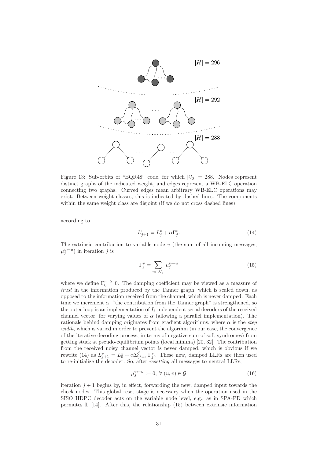

Figure 13: Sub-orbits of "EQR48" code, for which  $|\mathcal{G}_0| = 288$ . Nodes represent distinct graphs of the indicated weight, and edges represent a WB-ELC operation connecting two graphs. Curved edges mean arbitrary WB-ELC operations may exist. Between weight classes, this is indicated by dashed lines. The components within the same weight class are disjoint (if we do not cross dashed lines).

according to

$$
L_{j+1}^v = L_j^v + \alpha \Gamma_j^v. \tag{14}
$$

The extrinsic contribution to variable node  $v$  (the sum of all incoming messages,  $\mu_j^{v \leftarrow u}$ ) in iteration j is

$$
\Gamma_j^v = \sum_{u \in \mathcal{N}_v} \mu_j^{v-u} \tag{15}
$$

where we define  $\Gamma_0^v \triangleq 0$ . The damping coefficient may be viewed as a measure of *trust* in the information produced by the Tanner graph, which is scaled down, as opposed to the information received from the channel, which is never damped. Each time we increment  $\alpha$ , "the contribution from the Tanner graph" is strengthened, so the outer loop is an implementation of  $I_3$  independent serial decoders of the received channel vector, for varying values of  $\alpha$  (allowing a parallel implementation). The rationale behind damping originates from gradient algorithms, where  $\alpha$  is the *step width,* which is varied in order to prevent the algorihm (in our case, the convergence of the iterative decoding process, in terms of negative sum of soft syndromes) from getting stuck at pseudo-equilibrium points (local minima) [20, 32]. The contribution from the received noisy channel vector is never damped, which is obvious if we rewrite (14) as  $L_{j+1}^v = L_0^v + \alpha \Sigma_{j'=1}^j \Gamma_{j'}^v$ . These new, damped LLRs are then used to re-initialize the decoder. So, after *resetting* all messages to neutral LLRs,

$$
\mu_j^{v \leftarrow u} := 0, \ \forall \ (u, v) \in \mathcal{G} \tag{16}
$$

iteration  $j + 1$  begins by, in effect, forwarding the new, damped input towards the check nodes. This global reset stage is necessary when the operation used in the SISO HDPC decoder acts on the variable node level, e.g., as in SPA-PD which permutes  $\bf{L}$  [14]. After this, the relationship (15) between extrinsic information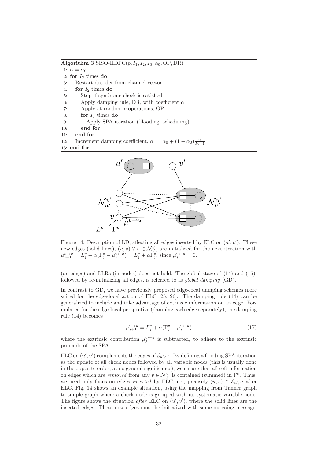Algorithm 3 SISO-HDPC $(p, I_1, I_2, I_3, \alpha_0, \text{OP}, \text{DR})$ 

1:  $\alpha = \alpha_0$ 

- 2: for  $I_3$  times do
- 3: Restart decoder from channel vector
- 4: for  $I_2$  times do
- 5: Stop if syndrome check is satisfied
- 6: Apply damping rule, DR, with coefficient  $\alpha$
- 7: Apply at random p operations, OP
- 8: for  $I_1$  times do
- 9: Apply SPA iteration ('flooding' scheduling)
- 10: end for
- 11: end for

12: Increment damping coefficient,  $\alpha := \alpha_0 + (1 - \alpha_0) \frac{I_3}{I_3 - 1}$ 

13: end for



Figure 14: Description of LD, affecting all edges inserted by ELC on  $(u', v')$ . These new edges (solid lines),  $(u, v) \forall v \in \mathcal{N}_{u'}^{v'}$ , are initialized for the next iteration with  $\mu_{j+1}^{v \to u} = L_j^v + \alpha (\Gamma_j^v - \mu_j^{v \leftarrow u}) = L_j^v + \alpha \Gamma_j^v$ , since  $\mu_j^{v \leftarrow u} = 0$ .

(on edges) and LLRs (in nodes) does not hold. The global stage of (14) and (16), followed by re-initializing all edges, is referred to as *global damping* (GD).

In contrast to GD, we have previously proposed edge-local damping schemes more suited for the edge-local action of ELC [25, 26]. The damping rule (14) can be generalized to include and take advantage of extrinsic information on an edge. Formulated for the edge-local perspective (damping each edge separately), the damping rule (14) becomes

$$
\mu_{j+1}^{v \to u} = L_j^v + \alpha (\Gamma_j^v - \mu_j^{v \to u}) \tag{17}
$$

where the extrinsic contribution  $\mu_j^{v\leftarrow u}$  is subtracted, to adhere to the extrinsic principle of the SPA.

ELC on  $(u', v')$  complements the edges of  $\mathcal{E}_{u', v'}$ . By defining a flooding SPA iteration as the update of all check nodes followed by all variable nodes (this is usually done in the opposite order, at no general significance), we ensure that all soft information on edges which are *removed* from any  $v \in \mathcal{N}_{u'}^{v'}$  is contained (summed) in  $\Gamma^v$ . Thus, we need only focus on edges *inserted* by ELC, i.e., precisely  $(u, v) \in \mathcal{E}_{u', v'}$  after ELC. Fig. 14 shows an example situation, using the mapping from Tanner graph to simple graph where a check node is grouped with its systematic variable node. The figure shows the situation *after* ELC on  $(u', v')$ , where the solid lines are the inserted edges. These new edges must be initialized with some outgoing message,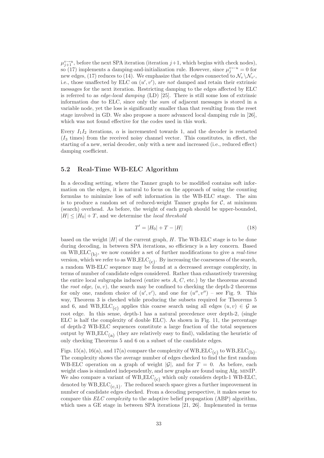$\mu_{j+1}^{\nu \rightarrow u}$ , before the next SPA iteration (iteration  $j+1$ , which begins with check nodes), so (17) implements a damping-and-initialization rule. However, since  $\mu_j^{v \leftarrow u} = 0$  for new edges, (17) reduces to (14). We emphasize that the edges connected to  $\mathcal{N}_v \setminus \mathcal{N}_{v'}$ , i.e., those unaffected by ELC on  $(u', v')$ , are *not* damped and retain their extrinsic messages for the next iteration. Restricting damping to the edges affected by ELC is referred to as *edge-local damping* (LD) [25]. There is still some loss of extrinsic information due to ELC, since only the *sum* of adjacent messages is stored in a variable node, yet the loss is significantly smaller than that resulting from the reset stage involved in GD. We also propose a more advanced local damping rule in [26], which was not found effective for the codes used in this work.

Every  $I_1I_2$  iterations,  $\alpha$  is incremented towards 1, and the decoder is restarted  $(I_3$  times) from the received noisy channel vector. This constitutes, in effect, the starting of a new, serial decoder, only with a new and increased (i.e., reduced effect) damping coefficient.

### 5.2 Real-Time WB-ELC Algorithm

In a decoding setting, where the Tanner graph to be modified contains soft information on the edges, it is natural to focus on the approach of using the counting formulas to minimize loss of soft information in the WB-ELC stage. The aim is to produce a random set of reduced-weight Tanner graphs for  $\mathcal{C}$ , at minimum (search) overhead. As before, the weight of each graph should be upper-bounded,  $|H| \leq |H_0| + T$ , and we determine the *local threshold* 

$$
T' = |H_0| + T - |H| \tag{18}
$$

based on the weight  $|H|$  of the current graph, H. The WB-ELC stage is to be done during decoding, in between SPA iterations, so efficiency is a key concern. Based on WB ELC(b), we now consider a set of further modifications to give a *real-time* version, which we refer to as  $WBELC_{(c)}$ . By increasing the coarseness of the search, a random WB-ELC sequence may be found at a decreased average complexity, in terms of number of candidate edges considered. Rather than exhaustively traversing the entire local subgraphs induced (entire sets  $A, C$ , etc.) by the theorems around the *root edge*,  $(u, v)$ , the search may be confined to checking the depth-2 theorems for only one, random choice of  $(u', v')$ , and one for  $(u'', v'')$  – see Fig. 9. This way, Theorem 3 is checked while producing the subsets required for Theorems 5 and 6, and WB ELC<sub>(c)</sub> applies this coarse search using all edges  $(u, v) \in \mathcal{G}$  as root edge. In this sense, depth-1 has a natural precedence over depth-2, (single ELC is half the complexity of double ELC). As shown in Fig. 11, the percentage of depth-2 WB-ELC sequences constitute a large fraction of the total sequences output by  $WBELC_{(a)}$  (they are relatively easy to find), validating the heuristic of only checking Theorems 5 and 6 on a subset of the candidate edges.

Figs. 15(a), 16(a), and 17(a) compare the complexity of  $WBELC_{(c)}$  to  $WBELC_{(b)}$ . The complexity shows the average number of edges checked to find the first random WB-ELC operation on a graph of weight  $|\mathcal{G}|$ , and for  $T = 0$ . As before, each weight class is simulated independently, and new graphs are found using Alg. minIP. We also compare a variant of  $WBLEC_{(c)}$  which only considers depth-1 WB-ELC, denoted by  $W\text{B-ELC}_{(c,1)}$ . The reduced search space gives a further improvement in number of candidate edges checked. From a decoding perspective, it makes sense to compare this *ELC complexity* to the adaptive belief propagation (ABP) algorithm, which uses a GE stage in between SPA iterations [21, 26]. Implemented in terms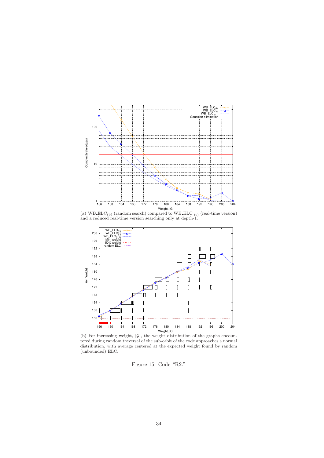

(a)  $WBELC_{(b)}$  (random search) compared to  $WBELC_{(c)}$  (real-time version) and a reduced real-time version searching only at depth-1.



(b) For increasing weight,  $|\mathcal{G}|$ , the weight distribution of the graphs encountered during random traversal of the sub-orbit of the code approaches a normal distribution, with average centered at the expected weight found by random (unbounded) ELC.

Figure 15: Code "R2."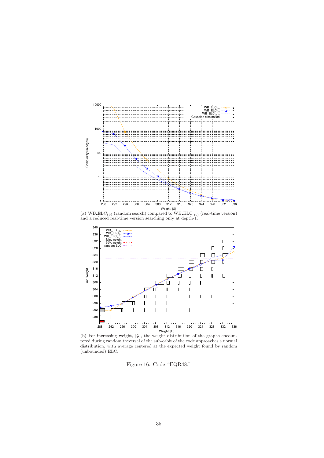

Weight,  $|G|$ <br>(a) WB\_ELC<sub>(b)</sub> (random search) compared to WB\_ELC<sub>(c)</sub> (real-time version) and a reduced real-time version searching only at depth-1.



(b) For increasing weight,  $|\mathcal{G}|$ , the weight distribution of the graphs encountered during random traversal of the sub-orbit of the code approaches a normal distribution, with average centered at the expected weight found by random (unbounded) ELC.

Figure 16: Code "EQR48."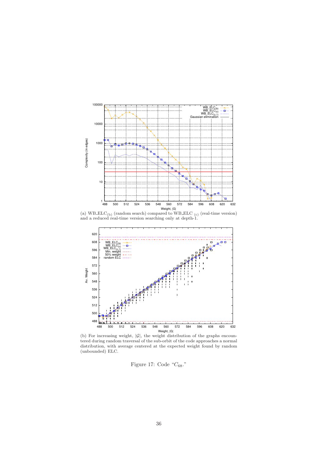

Weight,  $|G|$ <br>(a) WB\_ELC<sub>(b)</sub> (random search) compared to WB\_ELC<sub>(c)</sub> (real-time version) and a reduced real-time version searching only at depth-1.



(b) For increasing weight,  $|\mathcal{G}|$ , the weight distribution of the graphs encountered during random traversal of the sub-orbit of the code approaches a normal distribution, with average centered at the expected weight found by random (unbounded) ELC.

Figure 17: Code " $C_{68}$ ."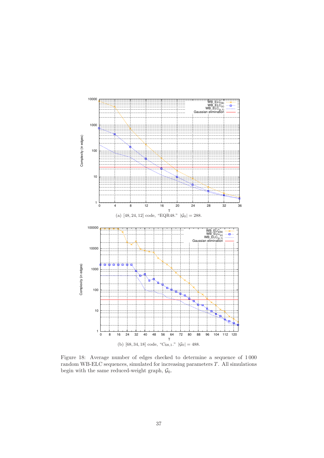

Figure 18: Average number of edges checked to determine a sequence of 1 000 random WB-ELC sequences, simulated for increasing parameters  $T$ . All simulations begin with the same reduced-weight graph,  $\mathcal{G}_0$ .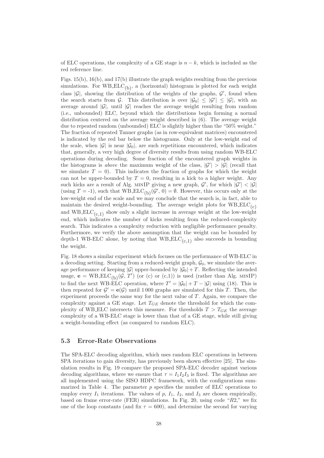of ELC operations, the complexity of a GE stage is  $n - k$ , which is included as the red reference line.

Figs. 15(b), 16(b), and 17(b) illustrate the graph weights resulting from the previous simulations. For WB\_ELC<sub>(b)</sub>, a (horizontal) histogram is plotted for each weight class  $|\mathcal{G}|$ , showing the distribution of the weights of the graphs,  $\mathcal{G}'$ , found when the search starts from G. This distribution is over  $|\mathcal{G}_0| \leq |\mathcal{G}'| \leq |\mathcal{G}|$ , with an average around  $|\mathcal{G}|$ , until  $|\mathcal{G}|$  reaches the average weight resulting from random (i.e., unbounded) ELC, beyond which the distributions begin forming a normal distribution centered on the average weight described in (6). The average weight due to repeated random (unbounded) ELC is slightly higher than the "50% weight." The fraction of repeated Tanner graphs (as in row-equivalent matrices) encountered is indicated by the red bar below the histograms. Only at the low-weight end of the scale, when  $|\mathcal{G}|$  is near  $|\mathcal{G}_0|$ , are such repetitions encountered, which indicates that, generally, a very high degree of diversity results from using random WB-ELC operations during decoding. Some fraction of the encountered graph weights in the histograms is *above* the maximum weight of the class,  $|\mathcal{G}'| > |\mathcal{G}|$  (recall that we simulate  $T = 0$ . This indicates the fraction of graphs for which the weight can not be upper-bounded by  $T = 0$ , resulting in a kick to a higher weight. Any such kicks are a result of Alg. MINIP giving a new graph,  $\mathcal{G}'$ , for which  $|\mathcal{G}'| < |\mathcal{G}|$ (using  $T = -1$ ), such that WB\_ELC<sub>(b)</sub>( $\mathcal{G}'$ , 0) =  $\emptyset$ . However, this occurs only at the low-weight end of the scale and we may conclude that the search is, in fact, able to maintain the desired weight-bounding. The average weight plots for  $WBELC_{(c)}$ and WB  $\text{ELC}_{(c,1)}$  show only a slight increase in average weight at the low-weight end, which indicates the number of kicks resulting from the reduced-complexity search. This indicates a complexity reduction with negligible performance penalty. Furthermore, we verify the above assumption that the weight can be bounded by depth-1 WB-ELC alone, by noting that  $WBELC_{(c,1)}$  also succeeds in bounding the weight.

Fig. 18 shows a similar experiment which focuses on the performance of WB-ELC in a decoding setting. Starting from a reduced-weight graph,  $\mathcal{G}_0$ , we simulate the average performance of keeping  $|\mathcal{G}|$  upper-bounded by  $|\mathcal{G}_0|+T$ . Reflecting the intended usage,  $\mathbf{e} = \text{WB\_ELC}_{(b)}(\mathcal{G}, T')$  (or (c) or (c,1)) is used (rather than Alg. MINIP) to find the next WB-ELC operation, where  $T' = |\mathcal{G}_0| + T - |\mathcal{G}|$  using (18). This is then repeated for  $\mathcal{G}' = e(\mathcal{G})$  until 1000 graphs are simulated for this T. Then, the experiment proceeds the same way for the next value of T. Again, we compare the complexity against a GE stage. Let  $T_{GE}$  denote the threshold for which the complexity of WB ELC intersects this measure. For thresholds  $T > T_{GE}$  the average complexity of a WB-ELC stage is lower than that of a GE stage, while still giving a weight-bounding effect (as compared to random ELC).

### 5.3 Error-Rate Observations

The SPA-ELC decoding algorithm, which uses random ELC operations in between SPA iterations to gain diversity, has previously been shown effective [25]. The simulation results in Fig. 19 compare the proposed SPA-ELC decoder against various decoding algorithms, where we ensure that  $\tau = I_1 I_2 I_3$  is fixed. The algorithms are all implemented using the SISO HDPC framework, with the configurations summarized in Table 4. The parameter  $p$  specifies the number of ELC operations to employ every  $I_1$  iterations. The values of  $p$ ,  $I_1$ ,  $I_2$ , and  $I_3$  are chosen empirically, based on frame error-rate (FER) simulations. In Fig. 20, using code "R2," we fix one of the loop constants (and fix  $\tau = 600$ ), and determine the second for varying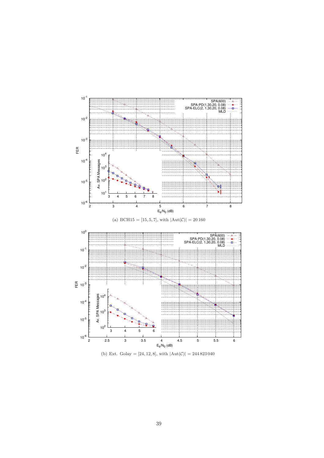

(b) Ext. Golay =  $[24, 12, 8]$ , with  $|Aut(\mathcal{C})| = 244823040$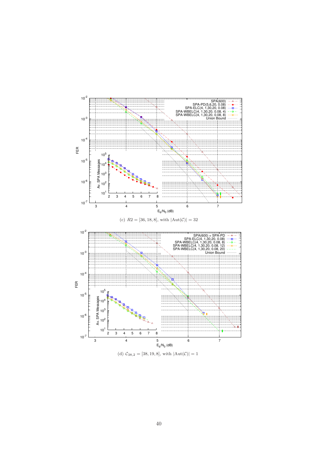

(d)  $C_{38,2} = [38, 19, 8]$ , with  $|Aut(\mathcal{C})| = 1$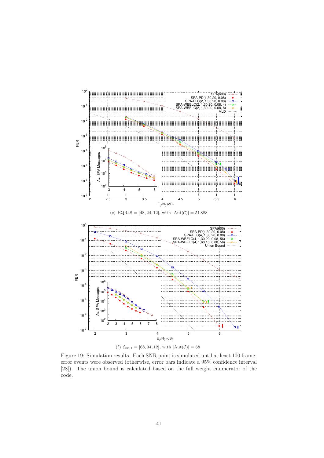

(f)  $C_{68,1} = [68, 34, 12]$ , with  $|Aut(\mathcal{C})| = 68$ 

Figure 19: Simulation results. Each SNR point is simulated until at least 100 frameerror events were observed (otherwise, error bars indicate a 95% confidence interval [28]). The union bound is calculated based on the full weight enumerator of the code.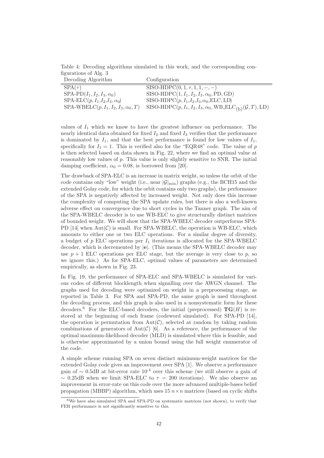Table 4: Decoding algorithms simulated in this work, and the corresponding configurations of Alg. 3

| Decoding Algorithm                     | Configuration                                                                             |
|----------------------------------------|-------------------------------------------------------------------------------------------|
| $SPA(\tau)$                            | $SISO-HDPC(0, 1, \tau, 1, 1, -, -)$                                                       |
| $SPA-PD(I_1, I_2, I_3, \alpha_0)$      | SISO-HDPC $(1, I_1, I_2, I_3, \alpha_0, \text{PD}, \text{GD})$                            |
| $SPA-ELC(p, I1, I2, I3, \alpha_0)$     | SISO-HDPC $(p, I_1, I_2, I_3, \alpha_0, \text{ELC}, \text{LD})$                           |
| $SPA-WBELC(p, I1, I2, I3, \alpha0, T)$ | SISO-HDPC $(p, I_1, I_2, I_3, \alpha_0, \text{WB\_ELC}_{(b)}(\mathcal{G}, T), \text{LD})$ |
|                                        |                                                                                           |

values of  $I_1$  which we know to have the greatest influence on performance. The nearly identical data obtained for fixed  $I_2$  and fixed  $I_3$  verifies that the performance is dominated by  $I_1$ , and that the best performance is found for low values of  $I_1$ , specifically for  $I_1 = 1$ . This is verified also for the "EQR48" code. The value of p is then selected based on data shown in Fig. 22, where we find an optimal value at reasonably low values of  $p$ . This value is only slightly sensitive to SNR. The initial damping coefficient,  $\alpha_0 = 0.08$ , is borrowed from [20].

The drawback of SPA-ELC is an increase in matrix weight, so unless the orbit of the code contains only "low" weight (i.e., near  $|\mathcal{G}|_{\text{min}}$ ) graphs (e.g., the BCH15 and the extended Golay code, for which the orbit contains only two graphs), the performance of the SPA is negatively affected by increased weight. Not only does this increase the complexity of computing the SPA update rules, but there is also a well-known adverse effect on convergence due to short cycles in the Tanner graph. The aim of the SPA-WBELC decoder is to use WB-ELC to give structurally distinct matrices of bounded weight. We will show that the SPA-WBELC decoder outperforms SPA-PD  $[14]$  when  $Aut(\mathcal{C})$  is small. For SPA-WBELC, the operation is WB-ELC, which amounts to either one or two ELC operations. For a similar degree of diversity, a budget of  $p$  ELC operations per  $I_1$  iterations is allocated for the SPA-WBELC decoder, which is decremented by |e|. (This means the SPA-WBELC decoder may use  $p + 1$  ELC operations per ELC stage, but the average is very close to p, so we ignore this.) As for SPA-ELC, optimal values of parameters are determined empirically, as shown in Fig. 23.

In Fig. 19, the performance of SPA-ELC and SPA-WBELC is simulated for various codes of different blocklength when signalling over the AWGN channel. The graphs used for decoding were optimized on weight in a preprocessing stage, as reported in Table 3. For SPA and SPA-PD, the same graph is used throughout the decoding process, and this graph is also used in a nonsystematic form for these decoders.<sup>6</sup> For the ELC-based decoders, the initial (preprocessed)  $\text{TG}(H)$  is restored at the beginning of each frame (codeword simulated). For SPA-PD [14], the operation is permutation from  $Aut(\mathcal{C})$ , selected at random by taking random combinations of generators of Aut $(\mathcal{C})$  [6]. As a reference, the performance of the optimal maximum-likelihood decoder (MLD) is simulated where this is feasible, and is otherwise approximated by a union bound using the full weight enumerator of the code.

A simple scheme running SPA on seven distinct minimum-weight matrices for the extended Golay code gives an improvement over SPA [1]. We observe a performance gain of  $\sim 0.5$ dB at bit-error rate  $10^{-4}$  over this scheme (we still observe a gain of  $\sim$  0.25dB when we limit SPA-ELC to  $\tau = 200$  iterations). We also observe an improvement in error-rate on this code over the more advanced multiple-bases belief propagation (MBBP) algorithm, which uses  $15 n \times n$  matrices (based on cyclic shifts

<sup>6</sup>We have also simulated SPA and SPA-PD on systematic matrices (not shown), to verify that FER performance is not significantly sensitive to this.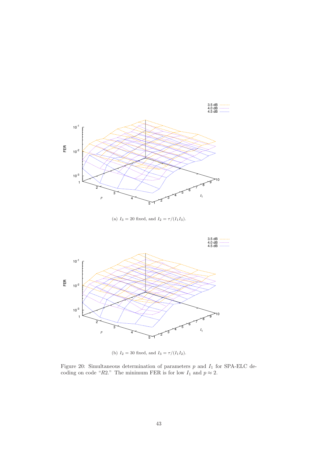

(a)  $I_3 = 20$  fixed, and  $I_2 = \tau/(I_1 I_3)$ .



(b)  $I_2 = 30$  fixed, and  $I_3 = \tau/(I_1 I_2)$ .

Figure 20: Simultaneous determination of parameters  $p$  and  $I_1$  for SPA-ELC decoding on code "R2." The minimum FER is for low  $I_1$  and  $p \approx 2$ .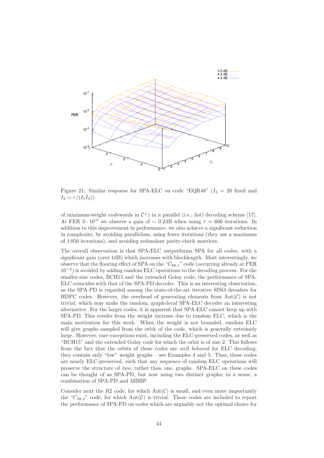

Figure 21: Similar response for SPA-ELC on code "EQR48" ( $I_3 = 20$  fixed and  $I_2 = \tau/(I_1I_3)).$ 

of minimum-weight codewords in  $\mathcal{C}^{\perp}$ ) in a parallel (i.e., list) decoding scheme [17]. At FER  $3 \cdot 10^{-3}$  we observe a gain of ~ 0.2dB when using  $\tau = 600$  iterations. In addition to this improvement in performance, we also achieve a significant reduction in complexity, by avoiding parallelism, using fewer iterations (they use a maximum of 1 050 iterations), and avoiding redundant parity-check matrices.

The overall observation is that SPA-ELC outperforms SPA for all codes, with a significant gain (over 1dB) which increases with blocklength. Most interestingly, we observe that the flooring effect of SPA on the " $C_{68,1}$ " code (occurring already at FER 10<sup>−</sup><sup>4</sup> ) is avoided by adding random ELC operations to the decoding process. For the smaller-size codes, BCH15 and the extended Golay code, the performance of SPA-ELC coincides with that of the SPA-PD decoder. This is an interesting observation, as the SPA-PD is regarded among the state-of-the-art iterative SISO decoders for HDPC codes. However, the overhead of generating elements from  $Aut(\mathcal{C})$  is not trivial, which may make the random, graph-local SPA-ELC decoder an interesting alternative. For the larger codes, it is apparent that SPA-ELC cannot keep up with SPA-PD. This results from the weight increase due to random ELC, which is the main motivation for this work. When the weight is not bounded, random ELC will give graphs sampled from the orbit of the code, which is generally extremely large. However, rare exceptions exist, including the ELC-preserved codes, as well as "BCH15" and the extended Golay code for which the orbit is of size 2. This follows from the fact that the orbits of these codes are *well behaved* for ELC decoding; they contain only "low" weight graphs – see Examples 4 and 5. Thus, these codes are nearly ELC-preserved, such that any sequence of random ELC operations will preserve the structure of *two,* rather than one, graphs. SPA-ELC on these codes can be thought of as SPA-PD, but now using two distinct graphs; in a sense, a combination of SPA-PD and MBBP.

Consider next the  $R2$  code, for which  $Aut(\mathcal{C})$  is small, and even more importantly the " $C_{38,2}$ " code, for which Aut(C) is trivial. These codes are included to report the performance of SPA-PD on codes which are arguably not the optimal choice for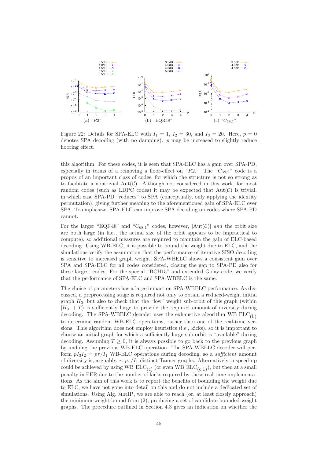

Figure 22: Details for SPA-ELC with  $I_1 = 1$ ,  $I_2 = 30$ , and  $I_3 = 20$ . Here,  $p = 0$ denotes SPA decoding (with no damping). p may be increased to slightly reduce flooring effect.

this algorithm. For these codes, it is seen that SPA-ELC has a gain over SPA-PD, especially in terms of a removing a floor-effect on " $R2$ ." The " $C_{38,2}$ " code is a propos of an important class of codes, for which the structure is not so strong as to facilitate a nontrivial  $Aut(\mathcal{C})$ . Although not considered in this work, for most random codes (such as LDPC codes) it may be expected that  $Aut(\mathcal{C})$  is trivial, in which case SPA-PD "reduces" to SPA (conceptually, only applying the identity permutation), giving further meaning to the aforementioned gain of SPA-ELC over SPA. To emphasize; SPA-ELC can improve SPA decoding on codes where SPA-PD cannot.

For the larger "EQR48" and " $C_{68,1}$ " codes, however,  $|\text{Aut}(\mathcal{C})|$  and the orbit size are both large (in fact, the actual size of the orbit appears to be impractical to compute), so additional measures are required to maintain the gain of ELC-based decoding. Using WB-ELC, it is possible to bound the weight due to ELC, and the simulations verify the assumption that the performance of iterative SISO decoding is sensitive to increased graph weight; SPA-WBELC shows a consistent gain over SPA and SPA-ELC for all codes considered, closing the gap to SPA-PD also for these largest codes. For the special "BCH15" and extended Golay code, we verify that the performance of SPA-ELC and SPA-WBELC is the same.

The choice of parameters has a large impact on SPA-WBELC performance. As discussed, a preprocessing stage is required not only to obtain a reduced-weight initial graph  $H_0$ , but also to check that the "low" weight sub-orbit of this graph (within  $|H_0| + T$ ) is sufficiently large to provide the required amount of diversity during decoding. The SPA-WBELC decoder uses the exhaustive algorithm  $WBELC_{(b)}$ to determine random WB-ELC operations, rather than one of the real-time versions. This algorithm does not employ heuristics (i.e., kicks), so it is important to choose an initial graph for which a sufficiently large sub-orbit is "available" during decoding. Assuming  $T \geq 0$ , it is always possible to go back to the previous graph by undoing the previous WB-ELC operation. The SPA-WBELC decoder will perform  $pI_3I_2 = p\tau/I_1$  WB-ELC operations during decoding, so a *sufficient* amount of diversity is, arguably,  $\sim p\tau/I_1$  distinct Tanner graphs. Alternatively, a speed-up could be achieved by using  $W\text{B-ELC}_{(c)}$  (or even  $W\text{B-ELC}_{(c,1)}$ ), but then at a small penalty in FER due to the number of kicks required by these real-time implementations. As the aim of this work is to report the benefits of bounding the weight due to ELC, we have not gone into detail on this and do not include a dedicated set of simulations. Using Alg. MINIP, we are able to reach (or, at least closely approach) the minimum-weight bound from (2), producing a set of candidate bounded-weight graphs. The procedure outlined in Section 4.3 gives an indication on whether the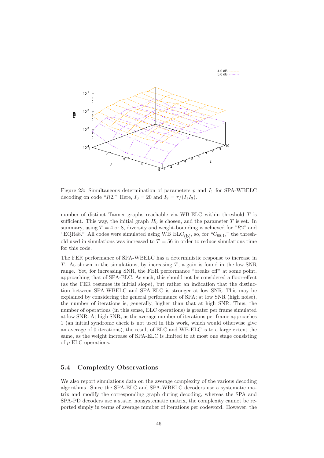

 $4.0$  dB  $---$ 

Figure 23: Simultaneous determination of parameters  $p$  and  $I_1$  for SPA-WBELC decoding on code "R2." Here,  $I_3 = 20$  and  $I_2 = \tau/(I_1 I_3)$ .

number of distinct Tanner graphs reachable via WB-ELC within threshold T is sufficient. This way, the initial graph  $H_0$  is chosen, and the parameter T is set. In summary, using  $T = 4$  or 8, diversity and weight-bounding is achieved for " $R2$ " and "EQR48." All codes were simulated using  $WB_EEC_{(b)}$ , so, for " $C_{68,1}$ ," the threshold used in simulations was increased to  $T = 56$  in order to reduce simulations time for this code.

The FER performance of SPA-WBELC has a deterministic response to increase in  $T$ . As shown in the simulations, by increasing  $T$ , a gain is found in the low-SNR range. Yet, for increasing SNR, the FER performance "breaks off" at some point, approaching that of SPA-ELC. As such, this should not be considered a floor-effect (as the FER resumes its initial slope), but rather an indication that the distinction between SPA-WBELC and SPA-ELC is stronger at low SNR. This may be explained by considering the general performance of SPA; at low SNR (high noise), the number of iterations is, generally, higher than that at high SNR. Thus, the number of operations (in this sense, ELC operations) is greater per frame simulated at low SNR. At high SNR, as the average number of iterations per frame approaches 1 (an initial syndrome check is not used in this work, which would otherwise give an average of 0 iterations), the result of ELC and WB-ELC is to a large extent the same, as the weight increase of SPA-ELC is limited to at most one stage consisting of p ELC operations.

### 5.4 Complexity Observations

We also report simulations data on the average complexity of the various decoding algorithms. Since the SPA-ELC and SPA-WBELC decoders use a systematic matrix and modify the corresponding graph during decoding, whereas the SPA and SPA-PD decoders use a static, nonsystematic matrix, the complexity cannot be reported simply in terms of average number of iterations per codeword. However, the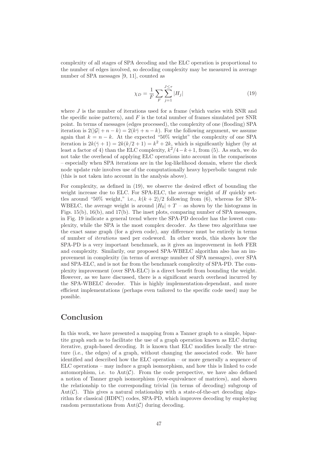complexity of all stages of SPA decoding and the ELC operation is proportional to the number of edges involved, so decoding complexity may be measured in average number of SPA messages [9, 11], counted as

$$
\chi_D = \frac{1}{F} \sum_{F} \sum_{j=1}^{J \le \tau} |H_j| \tag{19}
$$

where J is the number of iterations used for a frame (which varies with SNR and the specific noise pattern), and  $F$  is the total number of frames simulated per SNR point. In terms of messages (edges processed), the complexity of one (flooding) SPA iteration is  $2(|\mathcal{G}| + n - k) = 2(k\bar{\gamma} + n - k)$ . For the following argument, we assume again that  $k = n - k$ . At the expected "50% weight" the complexity of one SPA iteration is  $2k(\bar{\gamma}+1) = 2k(k/2+1) = k^2 + 2k$ , which is significantly higher (by at least a factor of 4) than the ELC complexity,  $k^2/4 - k + 1$ , from (5). As such, we do not take the overhead of applying ELC operations into account in the comparisons – especially when SPA iterations are in the log-likelihood domain, where the check node update rule involves use of the computationally heavy hyperbolic tangent rule (this is not taken into account in the analysis above).

For complexity, as defined in (19), we observe the desired effect of bounding the weight increase due to ELC. For SPA-ELC, the average weight of H quickly settles around "50% weight," i.e.,  $k(k+2)/2$  following from (6), whereas for SPA-WBELC, the average weight is around  $|H_0| + T -$  as shown by the histograms in Figs. 15(b), 16(b), and 17(b). The inset plots, comparing number of SPA messages, in Fig. 19 indicate a general trend where the SPA-PD decoder has the lowest complexity, while the SPA is the most complex decoder. As these two algorithms use the exact same graph (for a given code), any difference must be entirely in terms of number of *iterations* used per codeword. In other words, this shows how the SPA-PD is a very important benchmark, as it gives an improvement in *both* FER and complexity. Similarily, our proposed SPA-WBELC algorithm also has an improvement in complexity (in terms of average number of SPA messages), over SPA and SPA-ELC, and is not far from the benchmark complexity of SPA-PD. The complexity improvement (over SPA-ELC) is a direct benefit from bounding the weight. However, as we have discussed, there is a significant search overhead incurred by the SPA-WBELC decoder. This is highly implementation-dependant, and more efficient implementations (perhaps even tailored to the specific code used) may be possible.

# Conclusion

In this work, we have presented a mapping from a Tanner graph to a simple, bipartite graph such as to facilitate the use of a graph operation known as ELC during iterative, graph-based decoding. It is known that ELC modifies locally the structure (i.e., the edges) of a graph, without changing the associated code. We have identified and described how the ELC operation – or more generally a sequence of ELC operations – may induce a graph isomorphism, and how this is linked to code automorphism, i.e. to  $Aut(\mathcal{C})$ . From the code perspective, we have also defined a notion of Tanner graph isomorphism (row-equivalence of matrices), and shown the relationship to the corresponding trivial (in terms of decoding) subgroup of Aut( $\mathcal{C}$ ). This gives a natural relationship with a state-of-the-art decoding algorithm for classical (HDPC) codes, SPA-PD, which improves decoding by employing random permutations from  $Aut(\mathcal{C})$  during decoding.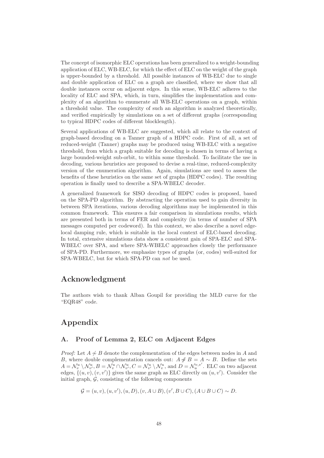The concept of isomorphic ELC operations has been generalized to a weight-bounding application of ELC, WB-ELC, for which the effect of ELC on the weight of the graph is upper-bounded by a threshold. All possible instances of WB-ELC due to single and double application of ELC on a graph are classified, where we show that all double instances occur on adjacent edges. In this sense, WB-ELC adheres to the locality of ELC and SPA, which, in turn, simplifies the implementation and complexity of an algorithm to enumerate all WB-ELC operations on a graph, within a threshold value. The complexity of such an algorithm is analyzed theoretically, and verified empirically by simulations on a set of different graphs (corresponding to typical HDPC codes of different blocklength).

Several applications of WB-ELC are suggested, which all relate to the context of graph-based decoding on a Tanner graph of a HDPC code. First of all, a set of reduced-weight (Tanner) graphs may be produced using WB-ELC with a negative threshold, from which a graph suitable for decoding is chosen in terms of having a large bounded-weight sub-orbit, to within some threshold. To facilitate the use in decoding, various heuristics are proposed to devise a real-time, reduced-complexity version of the enumeration algorithm. Again, simulations are used to assess the benefits of these heuristics on the same set of graphs (HDPC codes). The resulting operation is finally used to describe a SPA-WBELC decoder.

A generalized framework for SISO decoding of HDPC codes is proposed, based on the SPA-PD algorithm. By abstracting the operation used to gain diversity in between SPA iterations, various decoding algorithms may be implemented in this common framework. This ensures a fair comparison in simulations results, which are presented both in terms of FER and complexity (in terms of number of SPA messages computed per codeword). In this context, we also describe a novel edgelocal damping rule, which is suitable in the local context of ELC-based decoding. In total, extensive simulations data show a consistent gain of SPA-ELC and SPA-WBELC over SPA, and where SPA-WBELC approaches closely the performance of SPA-PD. Furthermore, we emphasize types of graphs (or, codes) well-suited for SPA-WBELC, but for which SPA-PD can *not* be used.

# Acknowledgment

The authors wish to thank Alban Goupil for providing the MLD curve for the "EQR48" code.

# Appendix

# A. Proof of Lemma 2, ELC on Adjacent Edges

*Proof:* Let  $A \nsim B$  denote the complementation of the edges between nodes in A and B, where double complementation cancels out:  $A \not\sim B = A \sim B$ . Define the sets  $A = \mathcal{N}_v^u \setminus \mathcal{N}_{v'}^u, B = \mathcal{N}_v^u \cap \mathcal{N}_{v'}^u, C = \mathcal{N}_{v'}^u \setminus \mathcal{N}_v^u$ , and  $D = \mathcal{N}_u^{v,v'}$ . ELC on two adjacent edges,  $\{(u, v), (v, v')\}$  gives the same graph as ELC directly on  $(u, v')$ . Consider the initial graph,  $\mathcal{G}$ , consisting of the following components

$$
\mathcal{G} = (u, v), (u, v'), (u, D), (v, A \cup B), (v', B \cup C), (A \cup B \cup C) \sim D.
$$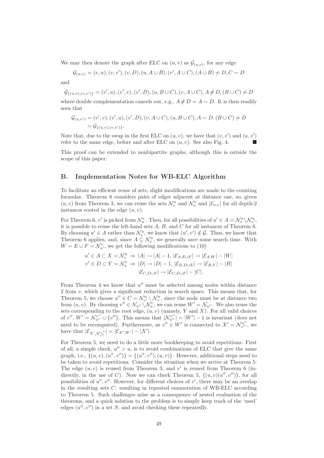We may then denote the graph after ELC on  $(u, v)$  as  $\mathcal{G}_{(u, v)}$ , for any edge

$$
G_{(u,v)} = (v, u), (v, v'), (v, D), (u, A \cup B), (v', A \cup C), (A \cup B) \nsim D, C \sim D
$$

and

 $\mathcal{G}_{\{(u,v),(v,v')\}} = (v',u),(v',v),(v',D),(u,B\cup C),(v,A\cup C),A\mathcal{H}D,(B\cup C)\mathcal{A}D$ 

where double complementation cancels out, e.g.,  $A \# D = A \sim D$ . It is then readily seen that

$$
G_{(u,v')} = (v', v), (v', u), (v', D), (v, A \cup C), (u, B \cup C), A \sim D, (B \cup C) \nsim D
$$
  
=  $\mathcal{G}_{\{(u,v),(v,v')\}}.$ 

Note that, due to the swap in the first ELC on  $(u, v)$ , we have that  $(v, v')$  and  $(u, v')$ refer to the same edge, before and after ELC on  $(u, v)$ . See also Fig. 4.

This proof can be extended to nonbipartite graphs, although this is outside the scope of this paper.

### B. Implementation Notes for WB-ELC Algorithm

To facilitate an efficient reuse of sets, slight modifications are made to the counting formulas. Theorem 6 considers pairs of edges adjacent at distance one, so, given  $(u, v)$  from Theorem 3, we can reuse the sets  $\mathcal{N}_v^u$  and  $\mathcal{N}_u^v$  and  $|\mathcal{E}_{u,v}|$  for all depth-2 instances rooted in the edge  $(u, v)$ .

For Theorem 6,  $v'$  is picked from  $\mathcal{N}_u^v$ . Then, for all possibilities of  $u' \in A = \mathcal{N}_v^u \backslash \mathcal{N}_{v'}^u$ , it is possible to reuse the left-hand sets  $A, B$ , and  $C$  for all instances of Theorem 6. By choosing  $u' \in A$  rather than  $\mathcal{N}_v^u$ , we know that  $(u', v') \notin \mathcal{G}$ . Thus, we know that Theorem 6 applies, and, since  $A \subseteq \mathcal{N}_v^u$ , we generally save some search time. With  $W = E \cup F = \mathcal{N}_{u'}^v$ , we get the following modifications to (10)

$$
u' \in A \subset X = \mathcal{N}_v^u \Rightarrow |A| \rightarrow |A| - 1, |\mathcal{E}_{A, E \cup F}| \rightarrow |\mathcal{E}_{A, W}| - |W|
$$
  

$$
v' \in D \subset Y = \mathcal{N}_u^v \Rightarrow |D| \rightarrow |D| - 1, |\mathcal{E}_{B, D \cup E}| \rightarrow |\mathcal{E}_{B, Y}| - |B|
$$
  

$$
|\mathcal{E}_{C, D \cup F}| \rightarrow |\mathcal{E}_{C, D \cup F}| - |C|.
$$

From Theorem 4 we know that  $u''$  must be selected among nodes within distance 2 from v, which gives a significant reduction in search space. This means that, for Theorem 5, we choose  $u'' \in C = \mathcal{N}_{v'}^u \setminus \mathcal{N}_v^u$ , since the node must be at distance two from  $(u, v)$ . By choosing  $v'' \in \mathcal{N}_{u''} \setminus \mathcal{N}_u^v$ , we can reuse  $W' = \mathcal{N}_{u''}$ . We also reuse the sets corresponding to the root edge,  $(u, v)$  (namely, Y and X). For all valid choices of  $v''$ ,  $W' = \mathcal{N}_{u''}^{v''} \cup \{v''\}$ . This means that  $|\mathcal{N}_{u''}^{v''}| = |W'| - 1$  is invariant (does not need to be recomputed). Furthermore, as  $v'' \in W'$  is connected to  $X' = \mathcal{N}_{v''}^{u''}$ , we have that  $|\mathcal{E}_{X',\mathcal{N}_{v''}^{u''}}| = |\mathcal{E}_{X',W'}| - |X'|$ .

For Theorem 5, we need to do a little more bookkeeping to avoid repetitions. First of all, a simple check,  $u'' > u$ , is to avoid combinations of ELC that give the same graph, i.e.,  $\{(u, v), (u'', v'')\} = \{(u'', v''), (u, v)\}.$  However, additional steps need to be taken to avoid repetitions. Consider the situation when we arrive at Theorem 5: The edge  $(u, v)$  is reused from Theorem 3, and  $v'$  is reused from Theorem 6 (indirectly, in the use of C). Now we can check Theorem 5,  $\{(u, v)(u'', v'')\}$ , for all possibilities of  $u'', v''$ . However, for different choices of  $v'$ , there may be an overlap in the resulting sets C, resulting in repeated enumeration of WB-ELC according to Theorem 5. Such challenges arise as a consequence of nested evaluation of the theorems, and a quick solution to the problem is to simply keep track of the 'used' edges  $(u'', v'')$  in a set S, and avoid checking these repeatedly.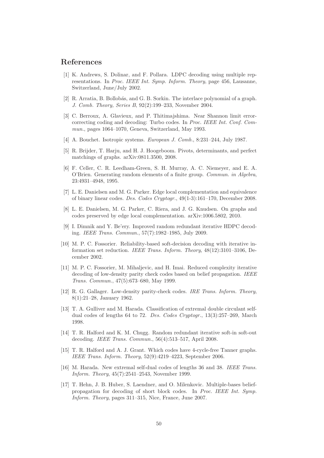# References

- [1] K. Andrews, S. Dolinar, and F. Pollara. LDPC decoding using multiple representations. In *Proc. IEEE Int. Symp. Inform. Theory*, page 456, Lausanne, Switzerland, June/July 2002.
- [2] R. Arratia, B. Bollobás, and G. B. Sorkin. The interlace polynomial of a graph. *J. Comb. Theory, Series B*, 92(2):199–233, November 2004.
- [3] C. Berroux, A. Glavieux, and P. Thitimajshima. Near Shannon limit errorcorrecting coding and decoding: Turbo codes. In *Proc. IEEE Int. Conf. Commun.*, pages 1064–1070, Geneva, Switzerland, May 1993.
- [4] A. Bouchet. Isotropic systems. *European J. Comb.*, 8:231–244, July 1987.
- [5] R. Brijder, T. Harju, and H. J. Hoogeboom. Pivots, determinants, and perfect matchings of graphs. arXiv:0811.3500, 2008.
- [6] F. Celler, C. R. Leedham-Green, S. H. Murray, A. C. Niemeyer, and E. A. O'Brien. Generating random elements of a finite group. *Commun. in Algebra*, 23:4931–4948, 1995.
- [7] L. E. Danielsen and M. G. Parker. Edge local complementation and equivalence of binary linear codes. *Des. Codes Cryptogr.*, 49(1-3):161–170, December 2008.
- [8] L. E. Danielsen, M. G. Parker, C. Riera, and J. G. Knudsen. On graphs and codes preserved by edge local complementation. arXiv:1006.5802, 2010.
- [9] I. Dimnik and Y. Be'ery. Improved random redundant iterative HDPC decoding. *IEEE Trans. Commun.*, 57(7):1982–1985, July 2009.
- [10] M. P. C. Fossorier. Reliability-based soft-decision decoding with iterative information set reduction. *IEEE Trans. Inform. Theory*, 48(12):3101–3106, December 2002.
- [11] M. P. C. Fossorier, M. Mihaljevic, and H. Imai. Reduced complexity iterative decoding of low-density parity check codes based on belief propagation. *IEEE Trans. Commun.*, 47(5):673–680, May 1999.
- [12] R. G. Gallager. Low-density parity-check codes. *IRE Trans. Inform. Theory*, 8(1):21–28, January 1962.
- [13] T. A. Gulliver and M. Harada. Classification of extremal double circulant selfdual codes of lengths 64 to 72. *Des. Codes Cryptogr.*, 13(3):257–269, March 1998.
- [14] T. R. Halford and K. M. Chugg. Random redundant iterative soft-in soft-out decoding. *IEEE Trans. Commun.*, 56(4):513–517, April 2008.
- [15] T. R. Halford and A. J. Grant. Which codes have 4-cycle-free Tanner graphs. *IEEE Trans. Inform. Theory*, 52(9):4219–4223, September 2006.
- [16] M. Harada. New extremal self-dual codes of lengths 36 and 38. *IEEE Trans. Inform. Theory*, 45(7):2541–2543, November 1999.
- [17] T. Hehn, J. B. Huber, S. Laendner, and O. Milenkovic. Multiple-bases beliefpropagation for decoding of short block codes. In *Proc. IEEE Int. Symp. Inform. Theory*, pages 311–315, Nice, France, June 2007.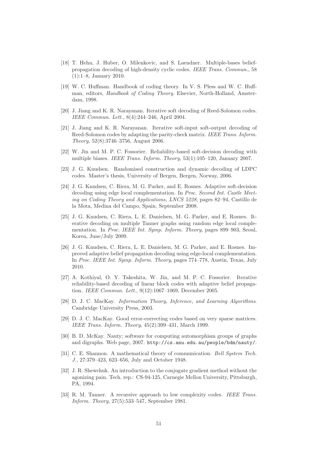- [18] T. Hehn, J. Huber, O. Milenkovic, and S. Laendner. Multiple-bases beliefpropagation decoding of high-density cyclic codes. *IEEE Trans. Commun.*, 58 (1):1–8, January 2010.
- [19] W. C. Huffman. Handbook of coding theory. In V. S. Pless and W. C. Huffman, editors, *Handbook of Coding Theory*. Elsevier, North-Holland, Amsterdam, 1998.
- [20] J. Jiang and K. R. Narayanan. Iterative soft decoding of Reed-Solomon codes. *IEEE Commun. Lett.*, 8(4):244–246, April 2004.
- [21] J. Jiang and K. R. Narayanan. Iterative soft-input soft-output decoding of Reed-Solomon codes by adapting the parity-check matrix. *IEEE Trans. Inform. Theory*, 52(8):3746–3756, August 2006.
- [22] W. Jin and M. P. C. Fossorier. Reliability-based soft-decision decoding with multiple biases. *IEEE Trans. Inform. Theory*, 53(1):105–120, January 2007.
- [23] J. G. Knudsen. Randomised construction and dynamic decoding of LDPC codes. Master's thesis, University of Bergen, Bergen, Norway, 2006.
- [24] J. G. Knudsen, C. Riera, M. G. Parker, and E. Rosnes. Adaptive soft-decision decoding using edge local complementation. In *Proc. Second Int. Castle Meeting on Coding Theory and Applications, LNCS 5228*, pages 82–94, Castillo de la Mota, Medina del Campo, Spain, September 2008.
- [25] J. G. Knudsen, C. Riera, L. E. Danielsen, M. G. Parker, and E. Rosnes. Iterative decoding on multiple Tanner graphs using random edge local complementation. In *Proc. IEEE Int. Symp. Inform. Theory*, pages 899–903, Seoul, Korea, June/July 2009.
- [26] J. G. Knudsen, C. Riera, L. E. Danielsen, M. G. Parker, and E. Rosnes. Improved adaptive belief propagation decoding using edge-local complementation. In *Proc. IEEE Int. Symp. Inform. Theory*, pages 774–778, Austin, Texas, July 2010.
- [27] A. Kothiyal, O. Y. Takeshita, W. Jin, and M. P. C. Fossorier. Iterative reliability-based decoding of linear block codes with adaptive belief propagation. *IEEE Commun. Lett.*, 9(12):1067–1069, December 2005.
- [28] D. J. C. MacKay. *Information Theory, Inference, and Learning Algorithms*. Cambridge University Press, 2003.
- [29] D. J. C. MacKay. Good error-correcting codes based on very sparse matrices. *IEEE Trans. Inform. Theory*, 45(2):399–431, March 1999.
- [30] B. D. McKay. Nauty; software for computing automorphism groups of graphs and digraphs. Web page, 2007. http://cs.anu.edu.au/people/bdm/nauty/.
- [31] C. E. Shannon. A mathematical theory of communication. *Bell System Tech. J.*, 27:379–423, 623–656, July and October 1948.
- [32] J. R. Shewchuk. An introduction to the conjugate gradient method without the agonizing pain. Tech. rep.: CS-94-125, Carnegie Mellon University, Pittsburgh, PA, 1994.
- [33] R. M. Tanner. A recursive approach to low complexity codes. *IEEE Trans. Inform. Theory*, 27(5):533–547, September 1981.